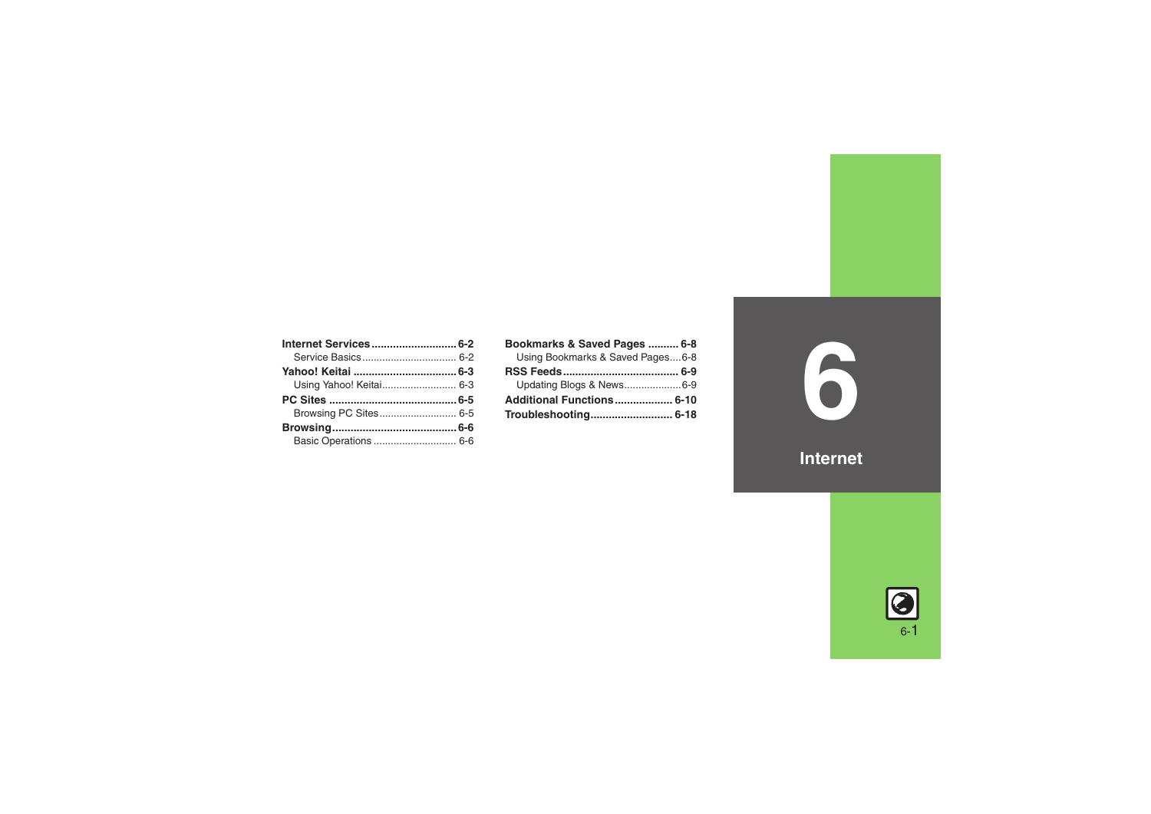| Bookmarks & Saved Pages  6-8     |  |
|----------------------------------|--|
| Using Bookmarks & Saved Pages6-8 |  |
|                                  |  |
| Updating Blogs & News6-9         |  |
| Additional Functions 6-10        |  |
|                                  |  |

**6**

**Internet**

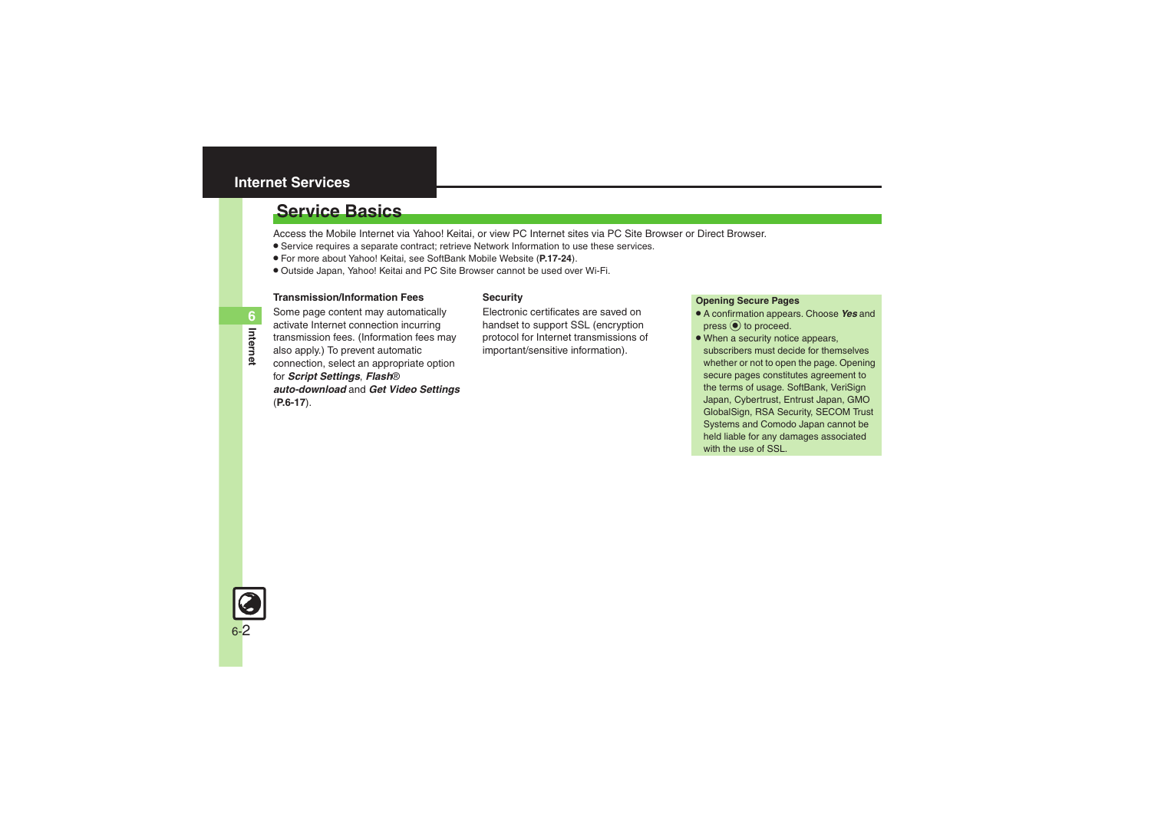# <span id="page-1-0"></span>**Internet Services**

# <span id="page-1-1"></span>**Service Basics**

Access the Mobile Internet via Yahoo! Keitai, or view PC Internet sites via PC Site Browser or Direct Browser.

- . Service requires a separate contract; retrieve Network Information to use these services.
- . For more about Yahoo! Keitai, see SoftBank Mobile Website (**P.17-24**).
- . Outside Japan, Yahoo! Keitai and PC Site Browser cannot be used over Wi-Fi.

### **Transmission/Information Fees**

### **Security**

Some page content may automatically activate Internet connection incurring transmission fees. (Information fees may also apply.) To prevent automatic connection, select an appropriate option for *Script Settings*, *Flash*® *auto-download* and *Get Video Settings* (**[P.6-17](#page-16-0)**).

Electronic certificates are saved on handset to support SSL (encryption protocol for Internet transmissions of important/sensitive information).

### **Opening Secure Pages**

- . A confirmation appears. Choose *Yes* and  $pres \odot$  to proceed.
- When a security notice appears, subscribers must decide for themselves whether or not to open the page. Opening secure pages constitutes agreement to the terms of usage. SoftBank, VeriSign Japan, Cybertrust, Entrust Japan, GMO GlobalSign, RSA Security, SECOM Trust Systems and Comodo Japan cannot be held liable for any damages associated with the use of SSL.

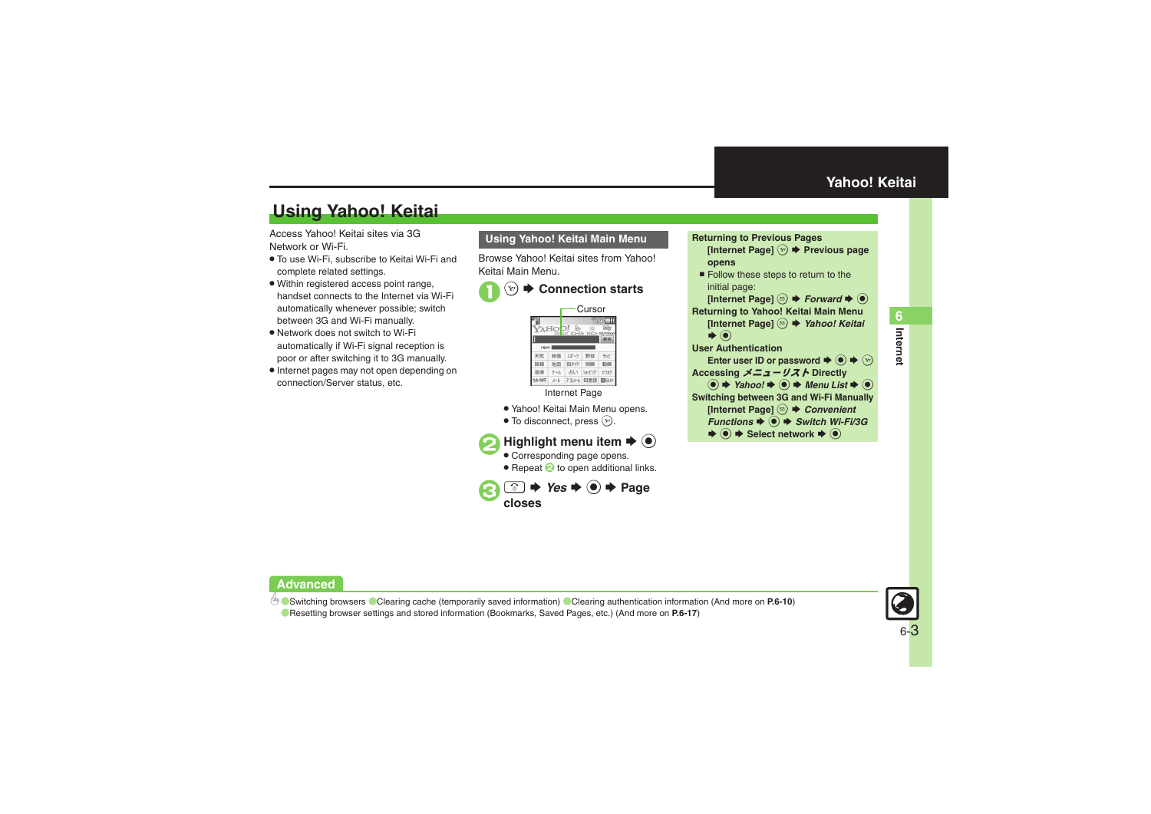# <span id="page-2-1"></span>**Using Yahoo! Keitai**

Access Yahoo! Keitai sites via 3G Network or Wi-Fi.

- . To use Wi-Fi, subscribe to Keitai Wi-Fi and complete related settings.
- . Within registered access point range, handset connects to the Internet via Wi-Fi automatically whenever possible; switch between 3G and Wi-Fi manually.
- . Network does not switch to Wi-Fi automatically if Wi-Fi signal reception is poor or after switching it to 3G manually.
- . Internet pages may not open depending on connection/Server status, etc.

### **Using Yahoo! Keitai Main Menu**

Browse Yahoo! Keitai sites from Yahoo! Keitai Main Menu.

#### $\mathbf 0$ Y! **Connection starts**



Internet Page

- . Yahoo! Keitai Main Menu opens.
- $\bullet$  To disconnect, press  $\circledcirc$ .



- . Corresponding page opens.
- **Repeat & to open additional links.**



**opens** ■ Follow these steps to return to the initial page: [Internet Page] <sup>**.**®  $\blacktriangleright$  *Forward*  $\blacktriangleright$  <sup>●</sup></sup> **Returning to Yahoo! Keitai Main Menu [Internet Page]**  B S *Yahoo! Keitai*  $\blacktriangleright$   $\textcircled{\scriptsize{}}$  **User Authentication**Enter user ID or password  $\blacktriangleright$   $\textcircled{\blacktriangleright}$   $\textcircled{\blacktriangleright}$  **Accessing** メニューリスト **Directly**  $\textcircled{\textbullet}$   $\blacktriangleright$  Yahoo!  $\blacktriangleright$   $\textcircled{\textbullet}$  Menu List  $\blacktriangleright$   $\textcircled{\textbullet}$  **Switching between 3G and Wi-Fi Manually [Internet Page]**  B S *Convenient*  **Functions**  $\blacklozenge$  **● Switch Wi-Fi/3G**  $\blacktriangleright$   $\textcircled{\scriptsize{*}}$   $\blacktriangleright$  Select network  $\blacktriangleright$   $\textcircled{\scriptsize{*}}$ 

**[Internet Page]**  A S **Previous page** 

<span id="page-2-0"></span>**Returning to Previous Pages**



# **Advanced**

b **C** [Switching browsers](#page-9-1) C[Clearing cache \(temporarily saved information\)](#page-9-2) C[Clearing authentication information](#page-9-3) (And more on [P.6-10](#page-9-3))

([Resetting browser settings and stored information \(Bookmarks, Saved Pages, etc.\)](#page-16-1) (And more on **[P.6-17](#page-16-1)**)

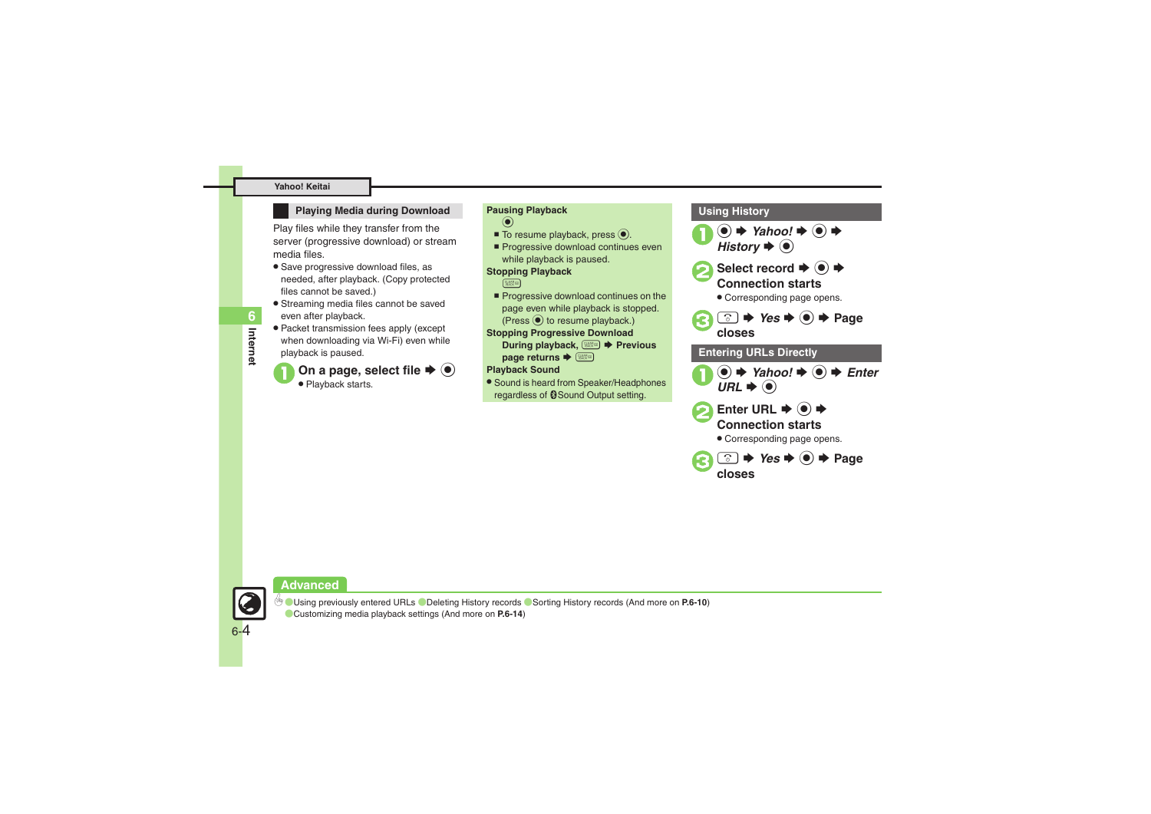### **Playing Media during Download Pausing Playback**

Play files while they transfer from the server (progressive download) or stream media files.

- **•** Save progressive download files, as needed, after playback. (Copy protected files cannot be saved.)
- . Streaming media files cannot be saved even after playback.
- . Packet transmission fees apply (except when downloading via Wi-Fi) even while playback is paused.

### On a page, select file  $\blacktriangleright$   $\textcircled{\scriptsize{\bullet}}$ • Playback starts.



### **Playback Sound**

. Sound is heard from Speaker/Headphones regardless of @Sound Output setting.







**Internet**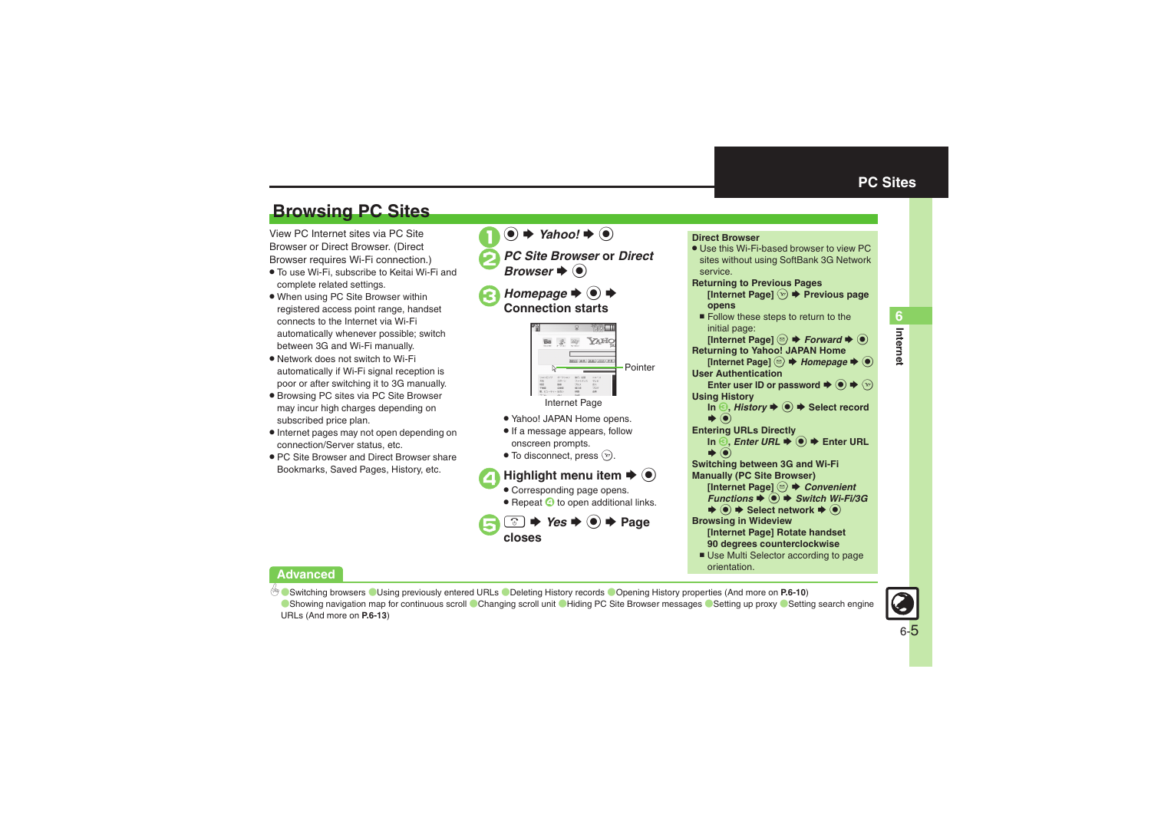# <span id="page-4-1"></span>**Browsing PC Sites**

View PC Internet sites via PC Site Browser or Direct Browser. (Direct Browser requires Wi-Fi connection.)

- . To use Wi-Fi, subscribe to Keitai Wi-Fi and complete related settings.
- . When using PC Site Browser within registered access point range, handset connects to the Internet via Wi-Fi automatically whenever possible; switch between 3G and Wi-Fi manually.
- . Network does not switch to Wi-Fi automatically if Wi-Fi signal reception is poor or after switching it to 3G manually.
- . Browsing PC sites via PC Site Browser may incur high charges depending on subscribed price plan.
- . Internet pages may not open depending on connection/Server status, etc.
- . PC Site Browser and Direct Browser share Bookmarks, Saved Pages, History, etc.

 $\mathbf 0$  $\textcircled{\bullet}$   $\blacktriangleright$  Yahoo!  $\blacktriangleright$   $\textcircled{\bullet}$ 

- *PC Site Browser* or *Direct*  $\blacktriangleright$   $\textcircled{\scriptsize{}}$
- **a**B Homepage  $\rightarrow$   **Connection starts**



- . Yahoo! JAPAN Home opens.
- **.** If a message appears, follow onscreen prompts.
- $\bullet$  To disconnect, press  $\circledcirc$ .

### **4** Highlight menu item **♦** ● . Corresponding page opens. • Repeat  $\bullet$  to open additional links.



#### <span id="page-4-0"></span>**Direct Browser** . Use this Wi-Fi-based browser to view PC sites without using SoftBank 3G Network service.**Returning to Previous Pages [Internet Page]**  A S **Previous page opens** ■ Follow these steps to return to the initial page: **[Internet Page] <sup>③</sup> ♦** *Forward* **♦ ③ Returning to Yahoo! JAPAN Home Example Page]** <sup>◎</sup> → *Homepage* → ◎ **User Authentication**Enter user ID or password  $\blacktriangleright \textcircled{\scriptsize{\circ}} \blacktriangleright \textcircled{\scriptsize{\circ}}$ **Using History In** *S***,** *History* $\blacklozenge$  $\blacklozenge$  $\blacklozenge$  **Select record** S **Entering URLs Directly**  $\boldsymbol{\odot}$ **In** *S***,** *Enter URL* $\blacklozenge$ *O* $\blacktriangleright$  **Enter URL**  $\blacktriangleright$   $\textcircled{\scriptsize{}}$  **Switching between 3G and Wi-Fi Manually (PC Site Browser) [Internet Page]**  B S *Convenient*  **Functions**  $\blacklozenge$  **● Switch Wi-Fi/3G**  $\rightarrow$  **Select network**  $\rightarrow$  **<sup>●</sup> Browsing in Wideview [Internet Page] Rotate handset 90 degrees counterclockwise** ■ Use Multi Selector according to page orientation.

# **Advanced**

b **C** [Switching browsers](#page-9-1) C[Using previously entered URLs](#page-9-4) C[Deleting History records](#page-9-5) C[Opening History properties](#page-9-7) (And more on [P.6-10](#page-9-1))

O[Showing navigation map for continuous scroll](#page-12-0) [Changing scroll unit](#page-12-1) C[Hiding PC Site Browser messages](#page-12-2) C[Setting up proxy](#page-12-3) CSetting search engine [URLs](#page-12-4) (And more on **[P.6-13](#page-12-0)**)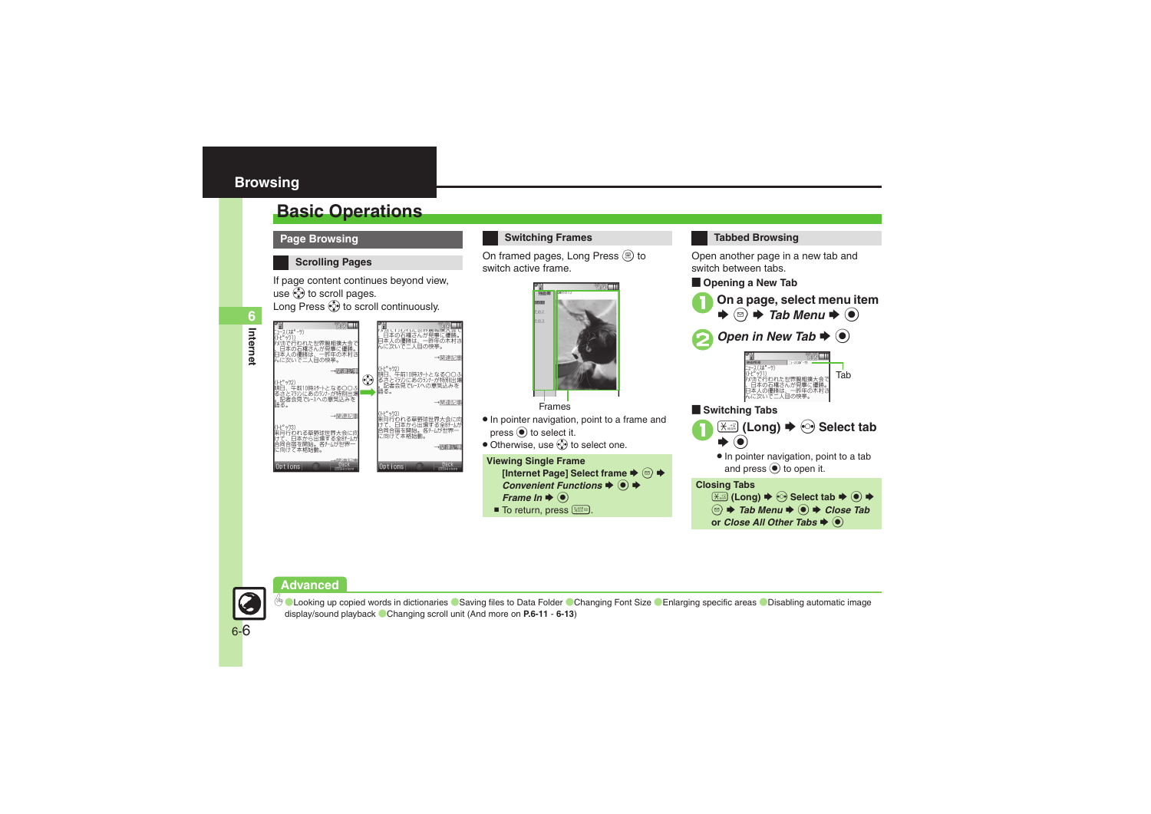**Internet**

**6**

# <span id="page-5-1"></span><span id="page-5-0"></span>**Basic Operations**

**Page Browsing**

### **Scrolling Pages**

If page content continues beyond view, use  $\ddot{\mathbb{Q}}$  to scroll pages. Long Press  $\circled{?}$  to scroll continuously.



## **Switching Frames**

On framed pages, Long Press  $\circledR$  to switch active frame.



### . In pointer navigation, point to a frame and  $pres \circledcirc$  to select it.

• Otherwise, use  $\ddot{\otimes}$  to select one.

```
Viewing Single Frame
Internet Page] Select frame \Rightarrow \textcircled{a}Convenient Functions \blacklozenge ●
 Frame In \blacklozenge \textcircled{\scriptsize{}}■ To return, press $<b>***</b>.
```


Open another page in a new tab and switch between tabs.

**Dening a New Tab** 







### [ **Switching Tabs**



. In pointer navigation, point to a tab and press  $\odot$  to open it.

### **Closing Tabs**



**Advanced**



**<sup>4</sup>O [Looking up copied words in dictionaries](#page-10-0) C[Saving files to Data Folder](#page-10-1) O [Changing Font Size](#page-11-0) C[Enlarging specific areas](#page-11-1) O Disabling automatic image** [display/sound playback](#page-11-2) ([Changing scroll unit](#page-12-5) (And more on **[P.6-11](#page-10-2)** - **[6-13](#page-12-5)**)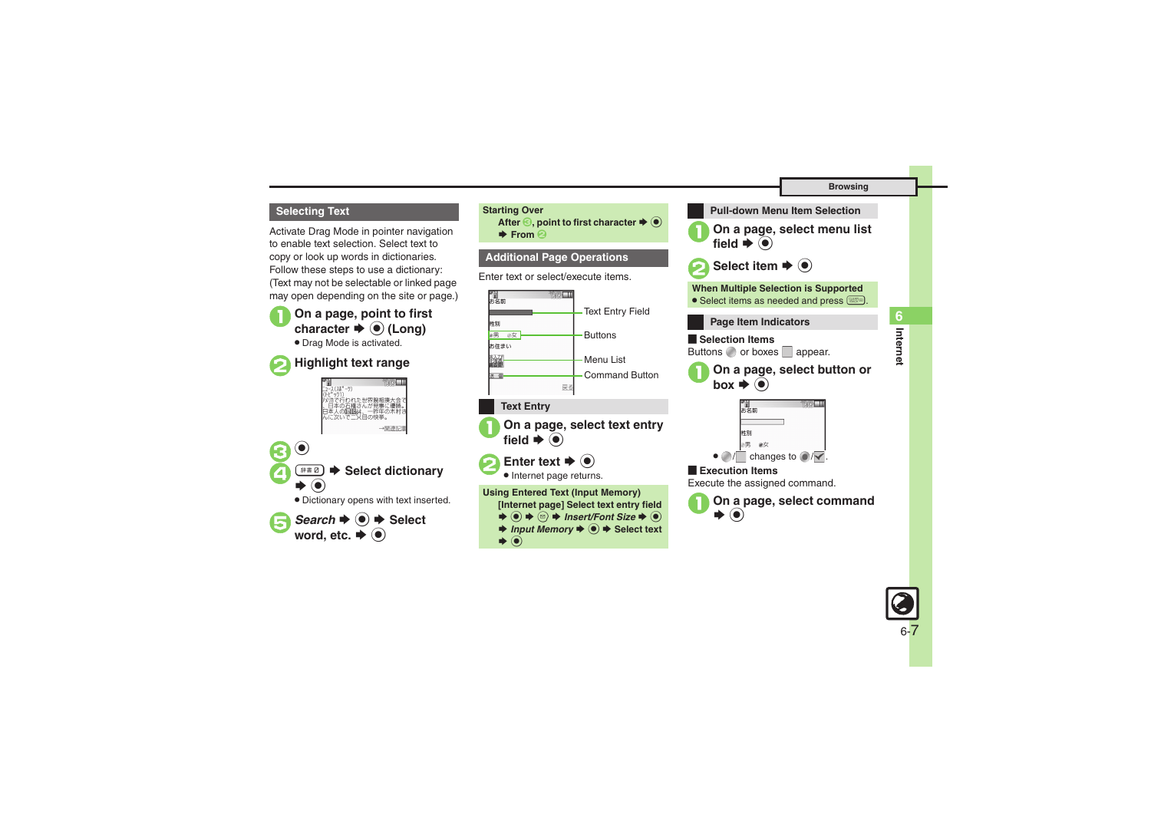### **Browsing**

### **Selecting Text Starting Over**

Activate Drag Mode in pointer navigation to enable text selection. Select text to copy or look up words in dictionaries. Follow these steps to use a dictionary: (Text may not be selectable or linked page may open depending on the site or page.)

**1** On a page, point to first character  $\rightarrow$  **●** (Long)

. Drag Mode is activated.



# 2**Highlight text range**







**After** *S*, point to first character  $\blacktriangleright$  <sup> $\odot$ </sup>

 $\blacktriangleright$  **From ②** 

# **Additional Page Operations**

Enter text or select/execute items.



# **Text Entry**

**On a page, select text entry**  $\blacktriangleright$   $\textcircled{\scriptsize{}}$ 

**2** Enter text  $\rightarrow$  <sup>0</sup>



**Using Entered Text (Input Memory) [Internet page] Select text entry field**   $\rightarrow$  **⊙**  $\rightarrow$  **©**  $\rightarrow$  **Insert/Font Size**  $\rightarrow$  **⊙** 

- $\rightarrow$ *Input Memory*  $\rightarrow$  **●** Select text
- $\blacktriangleright$   $\textcircled{\scriptsize{}}$



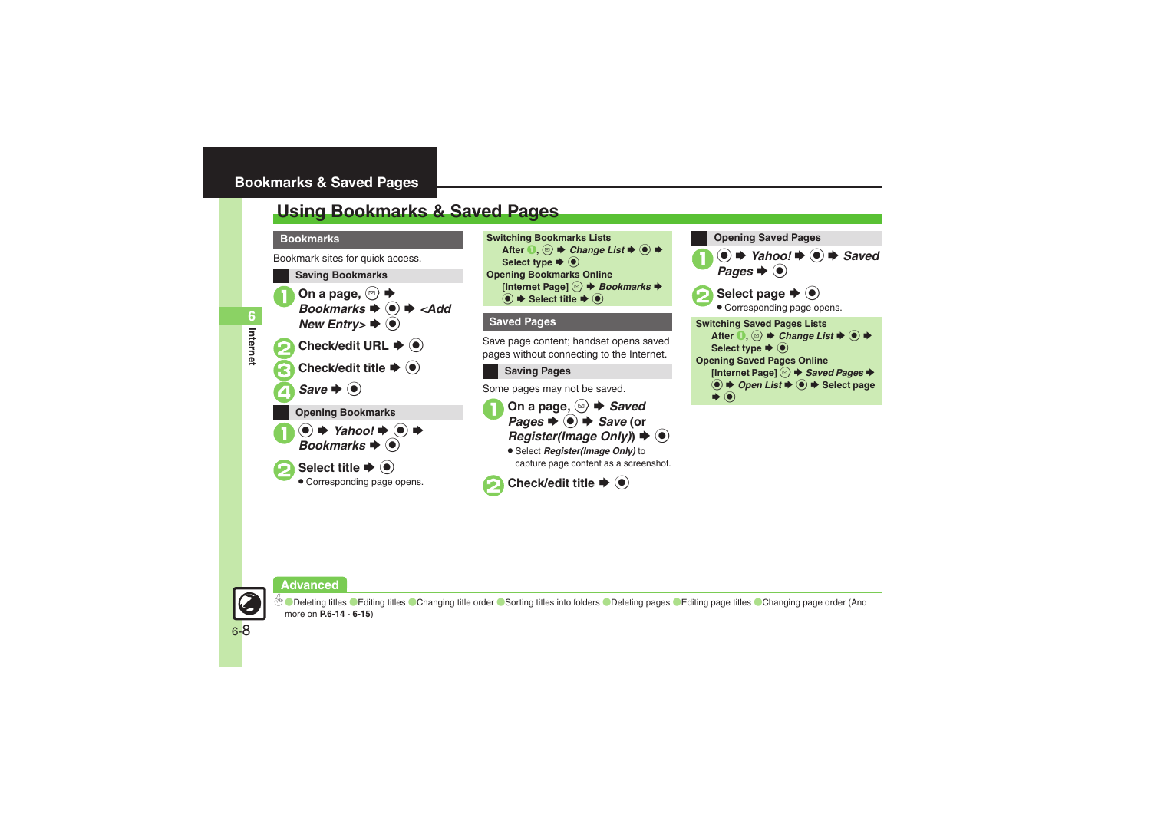# <span id="page-7-1"></span><span id="page-7-0"></span>**Using Bookmarks & Saved Pages**

### **Bookmarks**

Bookmark sites for quick access.



```
Switching Bookmarks Lists
   After \mathbf{0}, \circledcirc \Rightarrow Change List \Rightarrow \circledcirc \RightarrowSelect type \blacktriangleright \textcircled{\scriptsize{\bullet}}Opening Bookmarks Online
   Internet Page] <sup>a</sup> \rightarrow Bookmarks \rightarrow\textcircled{\textcircled{\char'13em}\hspace{13em}} Select title \blacktriangleright \textcircled{\char'13em}\hspace{13em}\bullet
```
## **Saved Pages**

Save page content; handset opens saved pages without connecting to the Internet.

# **Saving Pages**

Some pages may not be saved.

On a page,  $\circledcirc \blacktriangleright$  *Saved* Pages  $\blacktriangleright$  **O**  $\blacktriangleright$  *Save* (or *Register(Image Only)*  $\rightarrow$   $\bullet$ 

. Select *Register(Image Only)* to capture page content as a screenshot.

**Check/edit title**  $\blacktriangleright$  $\odot$ 



### **Advanced**



 $\%$  Obeleting titles ([Editing titles](#page-13-2) ([Changing title order](#page-13-3) ([Sorting titles into folders](#page-14-0) ([Deleting pages](#page-14-1) ([Editing page titles](#page-14-2) ([Changing page order](#page-14-3) (And more on **[P.6-14](#page-13-1)** - **[6-15](#page-14-3)**)

**Internet**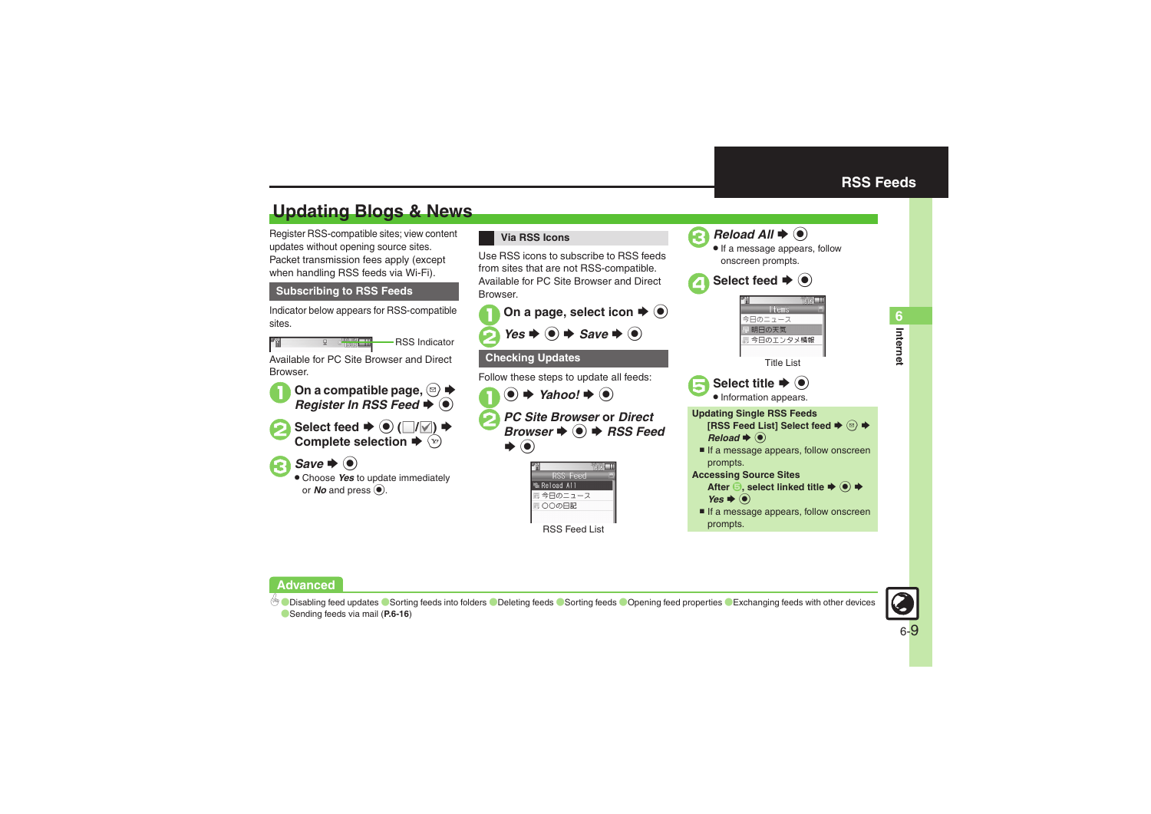**Internet 6**

Interne

# <span id="page-8-1"></span>**Updating Blogs & News**

Register RSS-compatible sites; view content updates without opening source sites. Packet transmission fees apply (except when handling RSS feeds via Wi-Fi).

# **Subscribing to RSS Feeds**

Indicator below appears for RSS-compatible sites.

RSS Indicator

Available for PC Site Browser and Direct Browser.



**1**On a compatible page, **◎ ★** *Register In RSS Feed*  $\blacklozenge$ 



 $\bullet$  Select feed  $\bullet$   $\bullet$   $(\blacksquare/\blacksquare) \bullet$ **Complete selection ➡ ষ্ট** 

 $\bigodot$  Save  $\bigodot$ 

. Choose *Yes* to update immediately or  $N$ *o* and press  $\textcircled{\small{}}$ .

### **Via RSS Icons**

Use RSS icons to subscribe to RSS feeds from sites that are not RSS-compatible. Available for PC Site Browser and Direct **Browser** 



<span id="page-8-0"></span>



**.** If a message appears, follow onscreen prompts.







. Information appears.

### **Updating Single RSS Feeds [RSS Feed List] Select feed**  SB S $Reload \blacktriangleright @$

If a message appears, follow onscreen prompts.

### **Accessing Source Sites**

- **After ⑤, select linked title ♦ ⓒ ♦** *Yes* ♦ ⊙
- If a message appears, follow onscreen prompts.



b O[Disabling feed updates](#page-15-0) O[Sorting feeds into folders](#page-15-1) O[Deleting feeds](#page-15-2) O[Sorting feeds](#page-15-3) O[Opening feed properties](#page-15-4) O[Exchanging feeds with other devices](#page-15-5) ([Sending feeds via mail](#page-15-6) (**[P.6-16](#page-15-6)**)

RSS Feed List

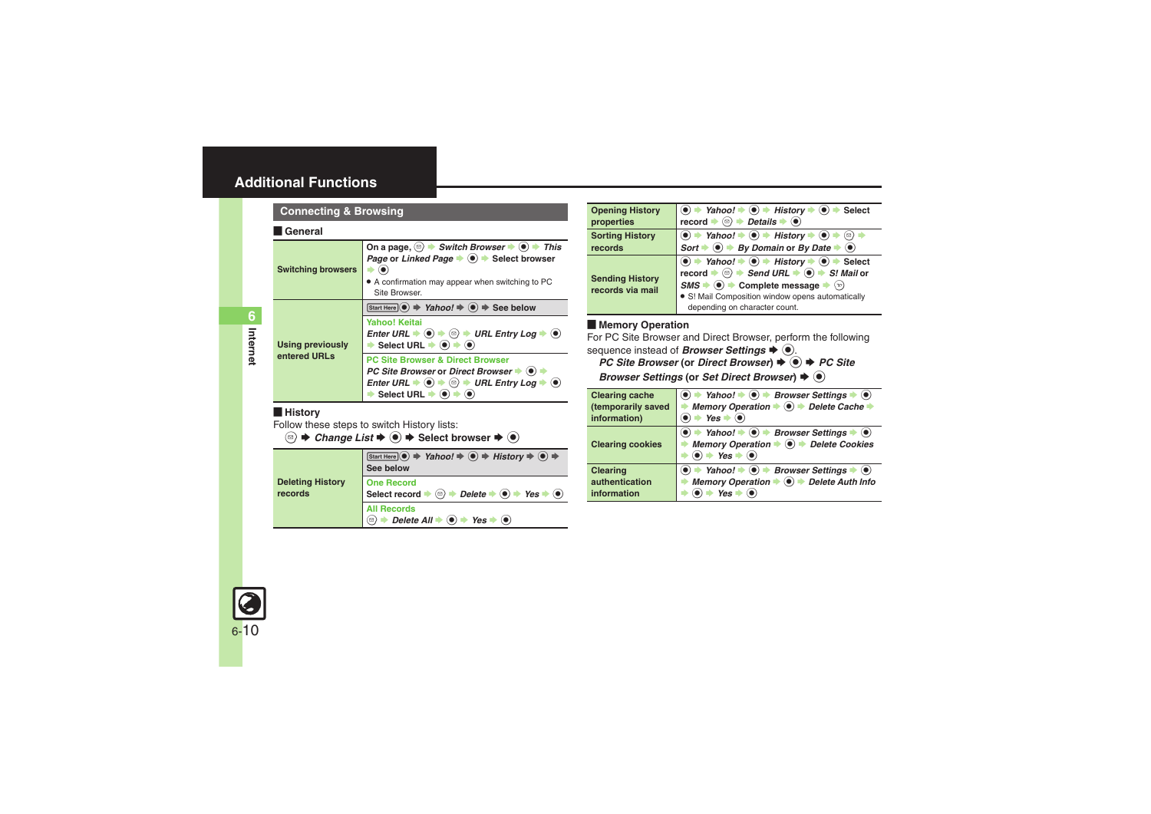### <span id="page-9-0"></span>[ **General**

<span id="page-9-1"></span>

| <b>Switching browsers</b>               | On a page, $\textcircled{=}$ $\blacktriangleright$ Switch Browser $\blacktriangleright$ $\textcircled{}$ $\blacktriangleright$ This<br>Page or Linked Page $\bullet$ $\bullet$ > Select browser<br>• A confirmation may appear when switching to PC<br>Site Browser.                                 |
|-----------------------------------------|------------------------------------------------------------------------------------------------------------------------------------------------------------------------------------------------------------------------------------------------------------------------------------------------------|
| <b>Using previously</b><br>entered URLs | Start Here $\odot \Rightarrow$ Yahoo! $\Rightarrow$ $\odot \Rightarrow$ See below<br>Yahoo! Keitai<br>Enter URL $\Rightarrow$ $\circledcirc$ $\Rightarrow$ $\circledcirc$ $\Rightarrow$ URL Entry Log $\Rightarrow$ $\circledcirc$<br>Select URL $\blacktriangleright$ (e) $\blacktriangleright$ (e) |
|                                         | <b>PC Site Browser &amp; Direct Browser</b><br>PC Site Browser or Direct Browser $\blacktriangleright$ ( $\blacklozenge$ )<br>Enter URL $\Rightarrow$ (0) $\Rightarrow$ (2) $\Rightarrow$ URL Entry Log $\Rightarrow$ (0)<br>Select URL $\blacktriangleright$                                        |

### <span id="page-9-4"></span>[ **History**

Follow these steps to switch History lists:

 $\textcircled{\tiny{\textcircled{\tiny{\#}}}}$   $\blacktriangleright$  *Change List*  $\blacktriangleright$   $\textcircled{\tiny{\textcircled{\tiny{\#}}}}$  Select browser  $\blacktriangleright$   $\textcircled{\tiny{\textcircled{\tiny{\#}}}}$ 

<span id="page-9-5"></span>

|                                    | $Estart Here ( \n\bullet \n\Rightarrow \nYahoo! \n\Rightarrow \n\bullet \n\Rightarrow \nHistory \n\Rightarrow \n\bullet \n\Rightarrow$<br>See below        |
|------------------------------------|------------------------------------------------------------------------------------------------------------------------------------------------------------|
| <b>Deleting History</b><br>records | <b>One Record</b><br>Select record $\Rightarrow$ $\textcircled{=}$ $\Rightarrow$ Delete $\Rightarrow$ $\textcircled{=}$ Yes $\Rightarrow$ $\textcircled{}$ |
|                                    | <b>All Records</b><br><b>→</b> Delete All $\Rightarrow$ ( $\bullet$ ) $\Rightarrow$ Yes $\Rightarrow$ ( $\bullet$ )<br>ั⊠)                                 |

<span id="page-9-7"></span><span id="page-9-6"></span>

| <b>Opening History</b><br>properties       | $\bullet$ $\bullet$ Yahoo! $\bullet$ $\bullet$ History $\bullet$ $\bullet$ $\bullet$<br>Select<br>$\mathsf{record} \Rightarrow \textcircled{\Rightarrow} \Rightarrow \mathsf{Details} \Rightarrow \textcircled{\bullet}$                                                                                                                                                                                                    |
|--------------------------------------------|-----------------------------------------------------------------------------------------------------------------------------------------------------------------------------------------------------------------------------------------------------------------------------------------------------------------------------------------------------------------------------------------------------------------------------|
| <b>Sorting History</b><br>records          | <b>to <math>\rightarrow</math> Yahoo!</b> $\rightarrow$ <b>e</b> ) $\rightarrow$ History $\rightarrow$ <b>e</b> ) $\rightarrow$ <b>e</b> )<br>Sort $\rightarrow$ <b>e</b> ) $\rightarrow$ By Domain or By Date $\rightarrow$ <b>e</b> )                                                                                                                                                                                     |
| <b>Sending History</b><br>records via mail | $\bullet$ $\Rightarrow$ Yahoo! $\Rightarrow$ $\bullet$ History $\Rightarrow$ $\bullet$ $\Rightarrow$ Select<br>record $\Rightarrow$ $\textcircled{3}$ $\Rightarrow$ Send URL $\Rightarrow$ $\textcircled{9}$ $\Rightarrow$ S! Mail or<br>$SMS \rightarrow \textcircled{\bullet}$ Complete message $\rightarrow$<br>$\langle v \rangle$<br>• S! Mail Composition window opens automatically<br>depending on character count. |

### **E** Memory Operation

For PC Site Browser and Direct Browser, perform the following sequence instead of **Browser Settings**  $\blacklozenge$ .

### *PC Site Browser* (or *Direct Browser*) ♦ <sup>●</sup> *PC Site Browser Settings* (or *Set Direct Browser*)  $\blacklozenge$  **(e)**

<span id="page-9-3"></span><span id="page-9-2"></span>

| <b>Clearing cache</b>                            | $\bullet$ $\rightarrow$ Yahoo! $\rightarrow$ $\bullet$ Browser Settings $\rightarrow$ $\bullet$                                                                  |
|--------------------------------------------------|------------------------------------------------------------------------------------------------------------------------------------------------------------------|
| (temporarily saved                               | Memory Operation $\blacklozenge \blacklozenge$ Delete Cache<br>$\rightarrow$ Yes $\rightarrow$ ( $\bullet$ )                                                     |
| information)                                     |                                                                                                                                                                  |
| <b>Clearing cookies</b>                          | → Yahoo! → $\odot$ → Browser Settings → $\odot$<br>Memory Operation → <sup>●</sup> → Delete Cookies<br>$\bullet$ + Yes $\bullet$ $\bullet$                       |
| <b>Clearing</b><br>authentication<br>information | $\bullet$ $\rightarrow$ Yahoo! $\rightarrow$ $\bullet$ Browser Settings $\rightarrow$<br>Memory Operation → <sup>●</sup> → Delete Auth Info<br>$Yes \Rightarrow$ |

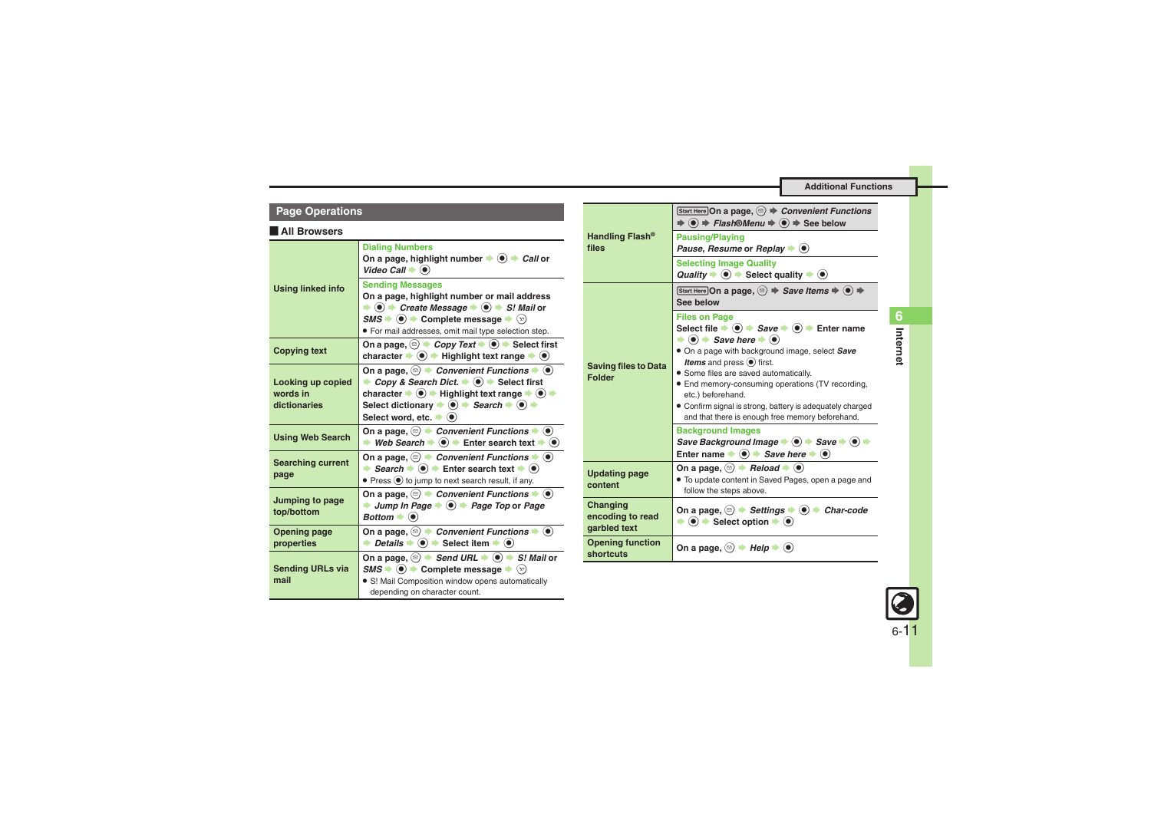<span id="page-10-2"></span><span id="page-10-1"></span><span id="page-10-0"></span>

| <b>Page Operations</b>                        |                                                                                                                                                                                                                                                                                                                                                                                         | Handling Flash <sup>®</sup>                                                      | Start Here On a page, $\circledcirc$ $\Rightarrow$ Convenient Functions                                                                                                                                                                            |
|-----------------------------------------------|-----------------------------------------------------------------------------------------------------------------------------------------------------------------------------------------------------------------------------------------------------------------------------------------------------------------------------------------------------------------------------------------|----------------------------------------------------------------------------------|----------------------------------------------------------------------------------------------------------------------------------------------------------------------------------------------------------------------------------------------------|
| All Browsers                                  |                                                                                                                                                                                                                                                                                                                                                                                         |                                                                                  | $\Rightarrow$ (o) $\Rightarrow$ Flash®Menu $\Rightarrow$ (o) $\Rightarrow$ See below<br><b>Pausing/Playing</b>                                                                                                                                     |
|                                               | <b>Dialing Numbers</b><br>On a page, highlight number $\Rightarrow$ $\textcircled{\bullet}$ $\Rightarrow$ Call or                                                                                                                                                                                                                                                                       | files<br><b>Sending Messages</b><br><b>Saving files to Data</b><br><b>Folder</b> | Pause, Resume or Replay $\blacktriangleright$ ( $\blacklozenge$ )<br><b>Selecting Image Quality</b>                                                                                                                                                |
| <b>Using linked info</b>                      | Video Call $\blacktriangleright$ ( $\blacklozenge$ )                                                                                                                                                                                                                                                                                                                                    |                                                                                  | Quality $\Rightarrow$ ( $\bullet$ ) $\Rightarrow$ Select quality $\Rightarrow$ ( $\bullet$ )                                                                                                                                                       |
|                                               | On a page, highlight number or mail address<br>$\Rightarrow$ (a) $\Rightarrow$ Create Message $\Rightarrow$ (a) $\Rightarrow$ S! Mail or                                                                                                                                                                                                                                                |                                                                                  | Start Here On a page, $\textcircled{\scriptsize{}} \Rightarrow$ Save Items $\Rightarrow$ $\textcircled{\scriptsize{}} \Rightarrow$<br>See below                                                                                                    |
|                                               | $\mathsf{SMS} \rightarrow \textcircled{\bullet}$ $\rightarrow$ Complete message $\rightarrow \textcircled{\circ}$<br>· For mail addresses, omit mail type selection step.                                                                                                                                                                                                               |                                                                                  | <b>Files on Page</b><br>Select file $\Rightarrow$ $\circledast$ $\Rightarrow$ Save $\Rightarrow$ $\circledast$ $\Rightarrow$ Enter name<br>$\Rightarrow$ ( $\bullet$ ) $\Rightarrow$ Save here $\Rightarrow$ ( $\bullet$ )                         |
| <b>Copying text</b>                           | On a page, $\textcircled{\scriptsize{\circ}}$ $\rightarrow$ Copy Text $\rightarrow$ $\textcircled{\scriptsize{\bullet}}$ Select first<br>character $\blacktriangleright$ $\textcircled{\blacktriangleright}$ Highlight text range $\blacktriangleright$ $\textcircled{\blacktriangleright}$                                                                                             |                                                                                  | • On a page with background image, select Save<br><b>Items</b> and press $\odot$ first.                                                                                                                                                            |
| Looking up copied<br>words in<br>dictionaries | On a page, $\circledcirc$ $\rightarrow$ Convenient Functions $\rightarrow \circledcirc$<br>• Copy & Search Dict. • $\bullet$ + Select first<br>character $\rightarrow$ <sup>●</sup> → Highlight text range $\rightarrow$ ● →<br>Select dictionary $\Rightarrow$ (a) $\Rightarrow$ Search $\Rightarrow$ (a) $\Rightarrow$<br>Select word, etc. $\blacktriangleright$ ( $\blacklozenge$ ) |                                                                                  | • Some files are saved automatically.<br>• End memory-consuming operations (TV recording,<br>etc.) beforehand.<br>• Confirm signal is strong, battery is adequately charged<br>and that there is enough free memory beforehand.                    |
| <b>Using Web Search</b>                       | On a page, $\circledcirc$ $\blacktriangleright$ Convenient Functions $\blacktriangleright$ $\circledcirc$<br>→ Web Search $\Rightarrow$ ( $\bullet$ ) $\Rightarrow$ Enter search text $\Rightarrow$ ( $\bullet$ )                                                                                                                                                                       |                                                                                  | <b>Background Images</b><br>Save Background Image $\bullet$ $\bullet$ $\bullet$ Save $\bullet$ $\bullet$ $\bullet$<br>Enter name $\Rightarrow$ $\circledcirc$ $\Rightarrow$ Save here $\Rightarrow$ $\circledcirc$                                 |
| <b>Searching current</b><br>page              | On a page, $\circledcirc$ $\rightarrow$ Convenient Functions $\rightarrow \circledcirc$<br>Search $\Rightarrow$ (a) $\Rightarrow$ Enter search text $\Rightarrow$ (a)<br>• Press $\odot$ to jump to next search result, if any.                                                                                                                                                         | <b>Updating page</b><br>content                                                  | On a page, $\textcircled{\scriptsize\circ}$ $\blacktriangleright$ <i>Reload</i> $\blacktriangleright$ $\textcircled{\scriptsize\bullet}$<br>• To update content in Saved Pages, open a page and<br>follow the steps above.                         |
| Jumping to page<br>top/bottom                 | On a page, $\circledcirc$ > Convenient Functions $\bullet$ $\circledcirc$<br>$\rightarrow$ Jump In Page $\rightarrow$ $\odot$ $\rightarrow$ Page Top or Page<br>Bottom $\blacktriangleright$ ( $\blacklozenge$ )                                                                                                                                                                        | Changing<br>encoding to read                                                     | On a page, $\textcircled{\scriptsize\circ}$ $\blacktriangleright$ Settings $\blacktriangleright$ $\textcircled{\scriptsize\bullet}$ $\blacktriangleright$ Char-code<br>$\Rightarrow$ $\bullet$ $\Rightarrow$ Select option $\Rightarrow$ $\bullet$ |
| <b>Opening page</b><br>properties             | On a page, $\circledcirc$ $\rightarrow$ Convenient Functions $\rightarrow \circledcirc$<br>→ Details $\Rightarrow$ ( $\bullet$ ) $\Rightarrow$ Select item $\Rightarrow$ ( $\bullet$ )                                                                                                                                                                                                  | qarbled text<br><b>Opening function</b>                                          |                                                                                                                                                                                                                                                    |
|                                               | On a page, $\circledcirc$ $\rightarrow$ Send URL $\rightarrow$ $\circledcirc$ $\rightarrow$ S! Mail or                                                                                                                                                                                                                                                                                  | shortcuts                                                                        | On a page, $\textcircled{\scriptsize\circ}$ $\blacktriangleright$ Help $\blacktriangleright$ $\textcircled{\scriptsize\circ}$                                                                                                                      |
| <b>Sending URLs via</b><br>mail               | $\mathsf{SMS} \rightarrow \textcircled{\bullet}$ $\rightarrow$ Complete message $\rightarrow \textcircled{\circ}$<br>• S! Mail Composition window opens automatically<br>depending on character count.                                                                                                                                                                                  |                                                                                  |                                                                                                                                                                                                                                                    |

# 6-11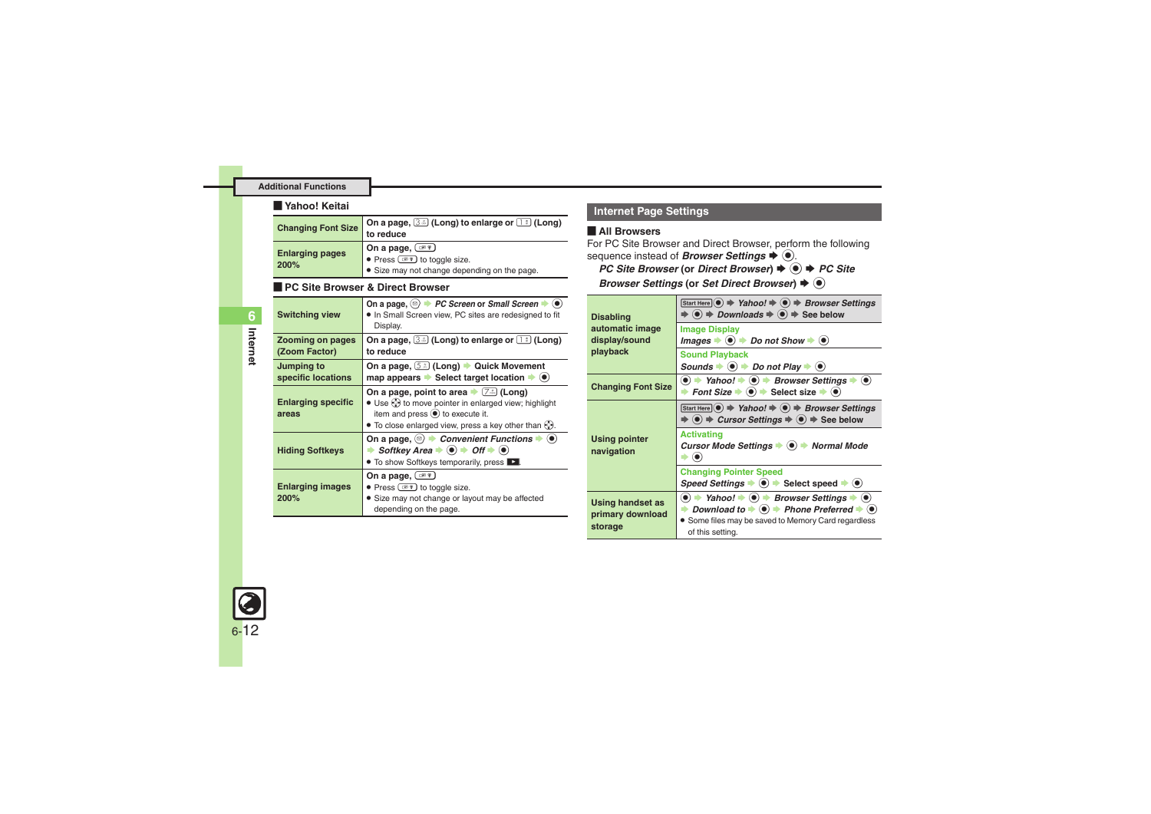#### [ **Yahoo! Keitai**

<span id="page-11-0"></span>

| <b>Changing Font Size</b> | On a page, 3. (Long) to enlarge or 1: (Long)<br>to reduce               |
|---------------------------|-------------------------------------------------------------------------|
| <b>Enlarging pages</b>    | On a page, $(\circledcirc)^*$<br>• Press $\circledcirc$ to toggle size. |
| 200%                      | • Size may not change depending on the page.                            |

### **PC Site Browser & Direct Browser**

| <b>Switching view</b>                    | On a page, $\textcircled{\scriptsize\cong}$ $\blacktriangleright$ PC Screen or Small Screen $\blacktriangleright$ $\textcircled{\scriptsize\bullet}$<br>. In Small Screen view, PC sites are redesigned to fit<br>Display.                                       |
|------------------------------------------|------------------------------------------------------------------------------------------------------------------------------------------------------------------------------------------------------------------------------------------------------------------|
| <b>Zooming on pages</b><br>(Zoom Factor) | On a page, $(3\div)$ (Long) to enlarge or $(1\div)$ (Long)<br>to reduce                                                                                                                                                                                          |
| Jumping to<br>specific locations         | On a page, 5.3 (Long) Cuick Movement<br>map appears $\blacktriangleright$ Select target location $\blacktriangleright$ ( $\blacklozenge$ )                                                                                                                       |
| <b>Enlarging specific</b><br>areas       | On a page, point to area $\blacktriangleright$ $(7\cdot\cdot\cdot)$ (Long)<br>• Use $\odot$ to move pointer in enlarged view; highlight<br>item and press $\odot$ to execute it.<br>• To close enlarged view, press a key other than $\langle \cdot \rangle$ .   |
| <b>Hiding Softkeys</b>                   | On a page, $\left( \mathfrak{D} \right)$ $\rightarrow$ Convenient Functions $\rightarrow$ $\left( \bullet \right)$<br>Softkey Area $\Rightarrow$ ( $\bullet$ ) $\Rightarrow$ Off $\Rightarrow$ ( $\bullet$ )<br>• To show Softkeys temporarily, press <b>D</b> . |
| <b>Enlarging images</b><br>200%          | On a page, <u>(ase</u> )<br>• Press $\circledcirc$ to toggle size.<br>• Size may not change or layout may be affected<br>depending on the page.                                                                                                                  |

# **Internet Page Settings**

### [ **All Browsers**

For PC Site Browser and Direct Browser, perform the following sequence instead of **Browser Settings**  $\blacklozenge$   $\odot$ .

*PC Site Browser* (or *Direct Browser*) ♦ <sup>●</sup> *♦ PC Site* 

**Browser Settings (or Set Direct Browser)**  $\blacklozenge$ 

<span id="page-11-2"></span>

| <b>Disabling</b>                                       | Start Here $\odot \Rightarrow$ Yahoo! $\Rightarrow$ $\odot \Rightarrow$ Browser Settings<br>$\Rightarrow$ $\circledast$ $\Rightarrow$ <i>Downloads</i> $\Rightarrow$ $\circledast$ $\Rightarrow$ See below                                                                                                                            |  |
|--------------------------------------------------------|---------------------------------------------------------------------------------------------------------------------------------------------------------------------------------------------------------------------------------------------------------------------------------------------------------------------------------------|--|
| automatic image<br>display/sound<br>playback           | <b>Image Display</b><br>Images $\blacktriangleright$ ( $\blacklozenge$ ) $\blacktriangleright$ Do not Show $\blacktriangleright$ ( $\blacklozenge$ )                                                                                                                                                                                  |  |
|                                                        | <b>Sound Playback</b><br>Sounds $\bullet$ $\bullet$ $\rightarrow$ Do not Play $\bullet$ $\bullet$                                                                                                                                                                                                                                     |  |
| <b>Changing Font Size</b>                              | $\textcircled{\textbullet}$ $\Rightarrow$ Yahoo! $\Rightarrow$ $\textcircled{\textbullet}$ Browser Settings $\Rightarrow$ $\textcircled{\textbullet}$<br>ightharpoont Size $\Rightarrow$ ⊜ $\Rightarrow$ Select size $\Rightarrow$ ⊜                                                                                                  |  |
| <b>Using pointer</b><br>navigation                     | Start Here $\odot \Rightarrow$ Yahoo! $\Rightarrow$ $\odot \Rightarrow$ Browser Settings<br>$\Rightarrow$ ( $\bullet$ ) $\Rightarrow$ Cursor Settings $\Rightarrow$ ( $\bullet$ ) $\Rightarrow$ See below                                                                                                                             |  |
|                                                        | <b>Activating</b><br>Cursor Mode Settings $\bullet$ ( $\bullet$ ) $\bullet$ Normal Mode                                                                                                                                                                                                                                               |  |
|                                                        | <b>Changing Pointer Speed</b><br>Speed Settings $\bullet$ ( $\bullet$ ) $\bullet$ Select speed $\bullet$ ( $\bullet$ )                                                                                                                                                                                                                |  |
| <b>Using handset as</b><br>primary download<br>storage | $\textcircled{\textbullet}$ $\Rightarrow$ Yahoo! $\Rightarrow$ $\textcircled{\textbullet}$ Browser Settings $\Rightarrow$ $\textcircled{\textbullet}$<br>→ Download to $\rightarrow$ ( $\bullet$ ) $\rightarrow$ Phone Preferred $\rightarrow$ $\bullet$ )<br>• Some files may be saved to Memory Card regardless<br>of this setting. |  |

<span id="page-11-1"></span>**Internet**

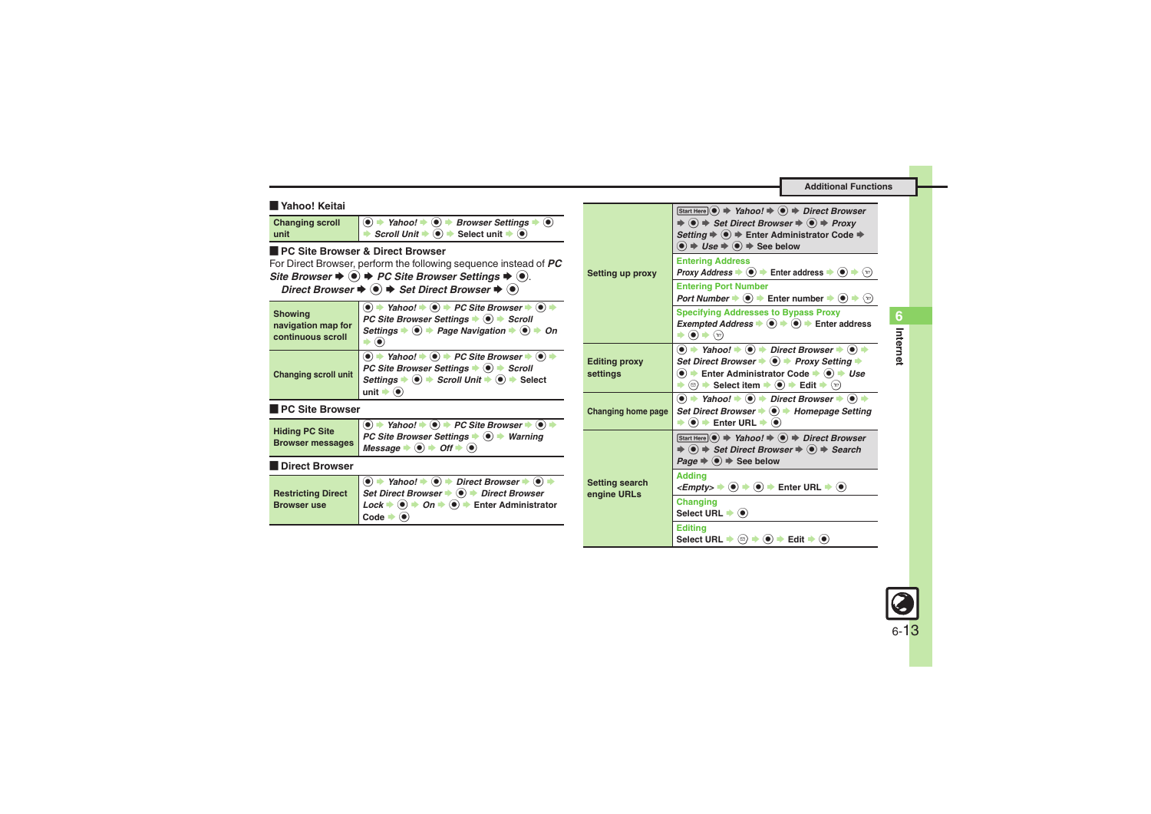<span id="page-12-5"></span><span id="page-12-2"></span><span id="page-12-1"></span><span id="page-12-0"></span>

| <b>N</b> Yahoo! Keitai<br><b>Changing scroll</b><br>unit                                                                                                                                                                                                                                                                                                                                | $\textcircled{\textbullet}$ $\Rightarrow$ Yahoo! $\Rightarrow$ $\textcircled{\textbullet}$ Browser Settings $\Rightarrow$ $\textcircled{\textbullet}$<br>Scroll Unit $\Rightarrow$ $\circledcirc$ $\Rightarrow$ Select unit $\Rightarrow$ $\circledcirc$<br>∙                                                                                                                                                    |                                      | Start Here $\odot \Rightarrow$ Yahoo! $\Rightarrow$ $\odot \Rightarrow$ Direct Browser<br>$\Rightarrow$ ( $\bullet$ ) $\Rightarrow$ Set Direct Browser $\Rightarrow$ ( $\bullet$ ) $\Rightarrow$ Proxy<br>Setting $\Rightarrow$ $\circledast$ $\Rightarrow$ Enter Administrator Code $\Rightarrow$<br>$\textcircled{\textcircled{\bullet}} \Rightarrow \textit{Use} \Rightarrow \textcircled{\textcircled{\bullet}} \Rightarrow \textit{See}$ below                                                                           |
|-----------------------------------------------------------------------------------------------------------------------------------------------------------------------------------------------------------------------------------------------------------------------------------------------------------------------------------------------------------------------------------------|------------------------------------------------------------------------------------------------------------------------------------------------------------------------------------------------------------------------------------------------------------------------------------------------------------------------------------------------------------------------------------------------------------------|--------------------------------------|-------------------------------------------------------------------------------------------------------------------------------------------------------------------------------------------------------------------------------------------------------------------------------------------------------------------------------------------------------------------------------------------------------------------------------------------------------------------------------------------------------------------------------|
| <b>PC Site Browser &amp; Direct Browser</b><br>For Direct Browser, perform the following sequence instead of PC<br>Site Browser $\blacklozenge$ $\blacklozenge$ $\blacktriangleright$ PC Site Browser Settings $\blacktriangleright$ $\blacklozenge$ .<br>Direct Browser $\blacklozenge$ $\blacklozenge$ $\blacktriangleright$ Set Direct Browser $\blacktriangleright$ $\blacklozenge$ |                                                                                                                                                                                                                                                                                                                                                                                                                  | Setting up proxy                     | <b>Entering Address</b><br><b>Proxy Address <math>\bullet</math> (0) <math>\bullet</math> Enter address <math>\bullet</math> (0) <math>\bullet</math></b> ( $\circ$ )<br><b>Entering Port Number</b><br>Port Number $\Rightarrow$ $\circledast$ $\Rightarrow$ Enter number $\Rightarrow$ $\circledast$ $\Rightarrow$ $\circledast$                                                                                                                                                                                            |
| <b>Showing</b><br>navigation map for<br>continuous scroll                                                                                                                                                                                                                                                                                                                               | $\textcircled{\bullet}$ + Yahoo! $\textup{\bullet}$ $\textcircled{\bullet}$ + PC Site Browser $\textup{\bullet}$ $\textcircled{\bullet}$ +<br>PC Site Browser Settings $\Rightarrow$ $\circledast$ $\Rightarrow$ Scroll<br>Settings $\bullet$ $\bullet$ $\bullet$ Page Navigation $\bullet$ $\bullet$ $\bullet$ On<br>$\bullet$ $\bullet$                                                                        |                                      | <b>Specifying Addresses to Bypass Proxy</b><br><i>Exempted Address</i> $\bullet$ $\bullet$ $\bullet$ $\bullet$ Enter address<br>$\blacktriangleright$ $\odot$ $\blacktriangleright$ $\odot$                                                                                                                                                                                                                                                                                                                                   |
| <b>Changing scroll unit</b>                                                                                                                                                                                                                                                                                                                                                             | $\textcircled{\textbullet}$ + Yahoo! $\textup{\textbullet}$ $\textcircled{\textbullet}$ + PC Site Browser $\textup{\textbullet}$ $\textcircled{\textbullet}$ +<br>PC Site Browser Settings $\bullet$ $\bullet$ $\bullet$ Scroll<br>Settings $\Rightarrow$ $\circledcirc$ $\Rightarrow$ Scroll Unit $\Rightarrow$ $\circledcirc$ $\Rightarrow$ Select<br>unit $\bullet$ $\odot$                                   | <b>Editing proxy</b><br>settings     | $\textcircled{\textbullet}$ + Yahoo! $\textcircled{\textbullet}$ + Direct Browser $\textbullet$ $\textcircled{\textbullet}$ +<br>Set Direct Browser $\blacklozenge$ $\blacklozenge$ Proxy Setting $\blacktriangleright$<br>$\textcircled{\textbullet}$ $\textuparrow$ Enter Administrator Code $\textuparrowled{\textbullet}$ $\textcircled{\textbullet}$ $\textuparrowled{\textcirc}$<br>$\Rightarrow$ $\circledcirc$ $\Rightarrow$ Select item $\Rightarrow$ $\circledcirc$ $\Rightarrow$ Edit $\Rightarrow$ $\circledcirc$ |
| PC Site Browser                                                                                                                                                                                                                                                                                                                                                                         | $\textcircled{\textcircled{\textcirc}}$ + Yahoo! $\Rightarrow$ $\textcircled{\textcircled{\textcirc}}$ + PC Site Browser $\Rightarrow$ $\textcircled{\textcircled{\textcirc}}$ $\Rightarrow$                                                                                                                                                                                                                     | <b>Changing home page</b>            | $\bullet$ $\Rightarrow$ Yahoo! $\Rightarrow$ $\bullet$ Direct Browser $\Rightarrow$ $\bullet$ $\Rightarrow$<br>Set Direct Browser ♦ (•) ♦ Homepage Setting<br>$\Rightarrow$ $\circledast$ $\Rightarrow$ Enter URL $\Rightarrow$ $\circledast$                                                                                                                                                                                                                                                                                 |
| <b>Hiding PC Site</b><br><b>Browser messages</b>                                                                                                                                                                                                                                                                                                                                        | <b>PC Site Browser Settings <math>\rightarrow</math> 0 <math>\rightarrow</math> Warning</b><br>Message $\Rightarrow$ $\bullet$ $\Rightarrow$ Off $\Rightarrow$ $\bullet$                                                                                                                                                                                                                                         |                                      | Start Here $\odot \Rightarrow$ Yahoo! $\Rightarrow$ $\odot \Rightarrow$ Direct Browser<br>$\Rightarrow$ (•) $\Rightarrow$ Set Direct Browser $\Rightarrow$ (•) $\Rightarrow$ Search<br>$Page \Rightarrow \textcircled{\ } \Rightarrow \text{See below}$                                                                                                                                                                                                                                                                       |
| Direct Browser                                                                                                                                                                                                                                                                                                                                                                          |                                                                                                                                                                                                                                                                                                                                                                                                                  |                                      |                                                                                                                                                                                                                                                                                                                                                                                                                                                                                                                               |
| <b>Restricting Direct</b>                                                                                                                                                                                                                                                                                                                                                               | $\textcircled{\textbf{A}}$ + Yahoo! $\textup{\textbf{A}}$ $\textcircled{\textbf{B}}$ + Direct Browser $\textup{\textbf{A}}$ $\textcircled{\textbf{B}}$ +<br>Set Direct Browser $\bullet$ $\bullet$ $\bullet$ Direct Browser<br>$Lock \rightarrow \textcircled{\ } \rightarrow \textcircled{\ } n \rightarrow \textcircled{\ } \rightarrow$ Enter Administrator<br>Code $\blacktriangleright$ ( $\blacklozenge$ ) | <b>Setting search</b><br>engine URLs | <b>Addina</b><br>$\leq$ <i>Empty</i> $>$ $\Rightarrow$ $\circledcirc$ $\Rightarrow$ $\circledcirc$ $\Rightarrow$ Enter URL $\Rightarrow$ $\circledcirc$<br>Changing                                                                                                                                                                                                                                                                                                                                                           |
| <b>Browser use</b>                                                                                                                                                                                                                                                                                                                                                                      |                                                                                                                                                                                                                                                                                                                                                                                                                  |                                      | Select URL $\blacktriangleright$ ( $\blacklozenge$ )                                                                                                                                                                                                                                                                                                                                                                                                                                                                          |
|                                                                                                                                                                                                                                                                                                                                                                                         |                                                                                                                                                                                                                                                                                                                                                                                                                  |                                      | <b>Editina</b>                                                                                                                                                                                                                                                                                                                                                                                                                                                                                                                |

**Internet 6**



<span id="page-12-4"></span><span id="page-12-3"></span> $\textsf{Select} \cup \textsf{RL} \blacktriangleright \textcircled{\scriptsize{\textcircled{\#}}} \blacklozenge \blacklozenge \blacktriangleright \textsf{Edit} \blacktriangleright \textcircled{\scriptsize{\textcircled{\#}}}$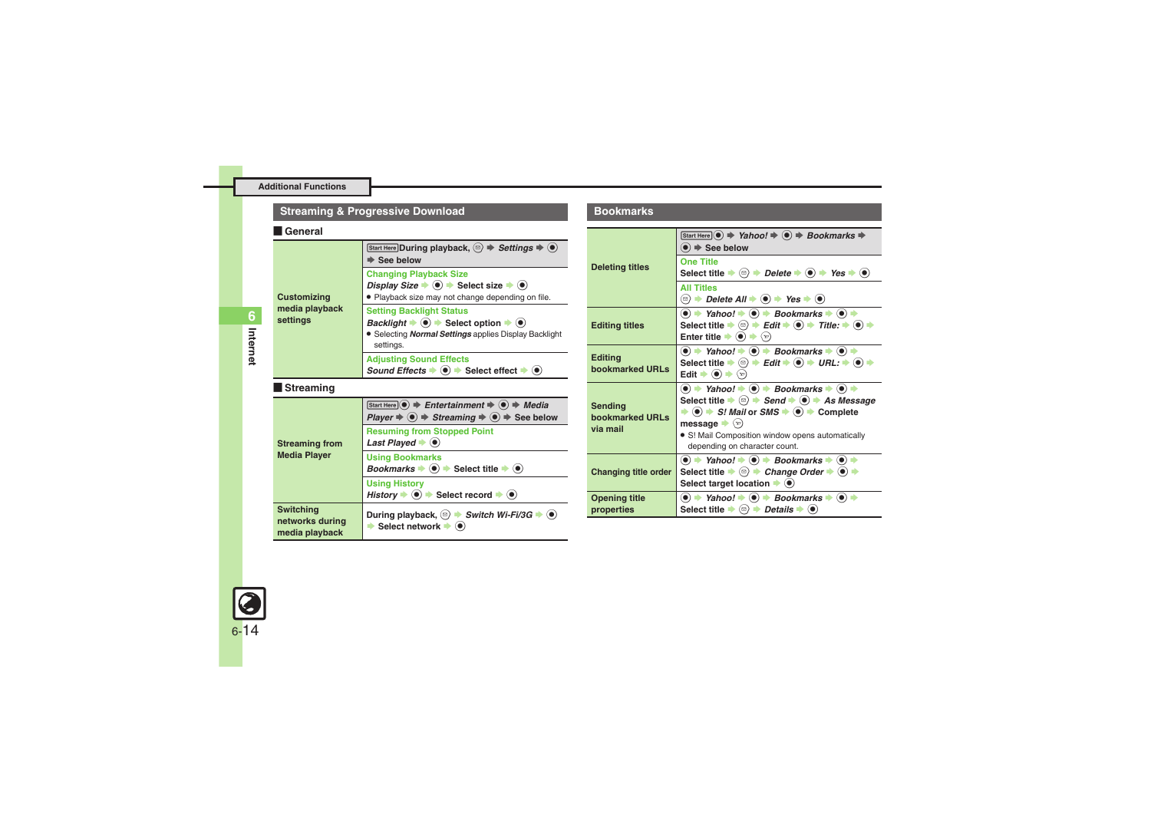# **Streaming & Progressive Download**

#### [ **General**

<span id="page-13-0"></span>

| <b>Customizing</b><br>media playback<br>settings      | Start Here During playback, $\textcircled{\scriptsize\cong} \Rightarrow$ Settings $\Rightarrow$ $\textcircled{\scriptsize\bullet}$<br>$\Rightarrow$ See below                                                                   |
|-------------------------------------------------------|---------------------------------------------------------------------------------------------------------------------------------------------------------------------------------------------------------------------------------|
|                                                       | <b>Changing Playback Size</b><br>Display Size $\Rightarrow$ $\circledcirc$ $\Rightarrow$ Select size $\Rightarrow$ $\circledcirc$<br>· Playback size may not change depending on file.                                          |
|                                                       | <b>Setting Backlight Status</b><br>Backlight $\bullet$ $\bullet$ $\bullet$ Select option $\bullet$ $\bullet$<br>• Selecting <b>Normal Settings</b> applies Display Backlight<br>settings.                                       |
|                                                       | <b>Adjusting Sound Effects</b><br>Sound Effects $\bullet$ ( $\bullet$ ) $\bullet$ Select effect $\bullet$ ( $\bullet$ )                                                                                                         |
| Streaming                                             |                                                                                                                                                                                                                                 |
| <b>Streaming from</b><br><b>Media Player</b>          | Start Here $\odot$ $\Rightarrow$ Entertainment $\Rightarrow$ $\odot$ $\Rightarrow$ Media<br>$Player \Rightarrow \textcircled{\textcirc} \Rightarrow Streaming \Rightarrow \textcircled{\textcirc} \Rightarrow \text{See below}$ |
|                                                       | <b>Resuming from Stopped Point</b><br>Last Played $\blacktriangleright$ ( $\blacklozenge$ )                                                                                                                                     |
|                                                       | <b>Using Bookmarks</b><br>Bookmarks $\bullet$ $\bullet$ Select title $\bullet$ $\bullet$                                                                                                                                        |
|                                                       | <b>Using History</b><br>History $\Rightarrow$ $\circledast$ Select record $\Rightarrow$ $\circledast$                                                                                                                           |
| <b>Switching</b><br>networks during<br>media playback | During playback, $\textcircled{\scriptsize\circ}$ > Switch Wi-Fi/3G $\blacktriangleright$ $\textcircled{\scriptsize\bullet}$<br>Select network $\bullet$ $\bullet$                                                              |

### **Bookmarks**

<span id="page-13-3"></span><span id="page-13-2"></span><span id="page-13-1"></span>

| <b>Deleting titles</b>                 | Start Here $\left(\bullet\right) \Rightarrow$ Yahoo! $\Rightarrow$ $\left(\bullet\right) \Rightarrow$ Bookmarks $\Rightarrow$<br>$\bullet$ $\Rightarrow$ See below                                                                                                                                                                                                                                                                                                         |
|----------------------------------------|----------------------------------------------------------------------------------------------------------------------------------------------------------------------------------------------------------------------------------------------------------------------------------------------------------------------------------------------------------------------------------------------------------------------------------------------------------------------------|
|                                        | <b>One Title</b><br>Select title $\Rightarrow$ $\textcircled{a}$ $\Rightarrow$ Delete $\Rightarrow$ $\textcircled{e}$ $\Rightarrow$ Yes $\Rightarrow$ $\textcircled{e}$                                                                                                                                                                                                                                                                                                    |
|                                        | <b>All Titles</b><br>(□) $\rightarrow$ Delete All $\rightarrow$ (●) $\rightarrow$ Yes $\rightarrow$ (●)                                                                                                                                                                                                                                                                                                                                                                    |
| <b>Editing titles</b>                  | $\bullet$ $\bullet$ Yahoo! $\bullet$ $\bullet$ Bookmarks $\bullet$ $\bullet$ $\bullet$<br>Select title $\Rightarrow$ $\textcircled{=}$ $\Rightarrow$ Edit $\Rightarrow$ $\textcircled{}} \Rightarrow$ Title: $\Rightarrow$ $\textcircled{}} \Rightarrow$<br>Enter title $\blacktriangleright$ ( $\blacklozenge$ ) $\blacktriangleright$ $\langle \triangleright \rangle$                                                                                                   |
| <b>Editing</b><br>bookmarked URLs      | $\textcircled{\textbullet}$ $\Rightarrow$ Yahoo! $\Rightarrow$ $\textcircled{\textbullet}$ $\Rightarrow$ Bookmarks $\Rightarrow$ $\textcircled{\textbullet}$ $\Rightarrow$<br>Select title $\Rightarrow$ $\textcircled{=}$ $\Rightarrow$ Edit $\Rightarrow$ $\textcircled{+}$ URL: $\Rightarrow$ $\textcircled{+}$<br>Edit $\bullet$ ( $\bullet$ ) $\bullet$ ( $\circ$ )                                                                                                   |
| Sending<br>bookmarked URLs<br>via mail | $\bullet$ $\bullet$ Yahoo! $\bullet$ $\bullet$ Bookmarks $\bullet$ $\bullet$<br>Select title $\Rightarrow$ $\textcircled{a}$ $\Rightarrow$ Send $\Rightarrow$ $\textcircled{a}$ $\Rightarrow$ As Message<br>$\Rightarrow$ ( $\bullet$ ) $\Rightarrow$ S! Mail or SMS $\Rightarrow$ ( $\bullet$ ) $\Rightarrow$ Complete<br>message $\blacktriangleright$ $\langle \mathbf{v} \rangle$<br>· S! Mail Composition window opens automatically<br>depending on character count. |
| Changing title order                   | $\langle \bullet \rangle$ $\Rightarrow$ Yahoo! $\Rightarrow$ $\langle \bullet \rangle$ $\Rightarrow$ Bookmarks $\Rightarrow$ $\langle \bullet \rangle$<br>Select title $\Rightarrow$ ( $\textcircled{a}$ ) $\Rightarrow$ Change Order $\Rightarrow$ ( $\bullet$ ) $\Rightarrow$<br>Select target location $\blacktriangleright$ $\blacklozenge$                                                                                                                            |
| <b>Opening title</b><br>properties     | $\langle \bullet \rangle$ $\Rightarrow$ Yahoo! $\Rightarrow$ $\langle \bullet \rangle$ $\Rightarrow$ Bookmarks $\Rightarrow$ $\langle \bullet \rangle$ $\Rightarrow$<br>Select title $\Rightarrow$ ( $\textcircled{a}$ ) $\Rightarrow$ Details $\Rightarrow$ ( $\bullet$ )                                                                                                                                                                                                 |

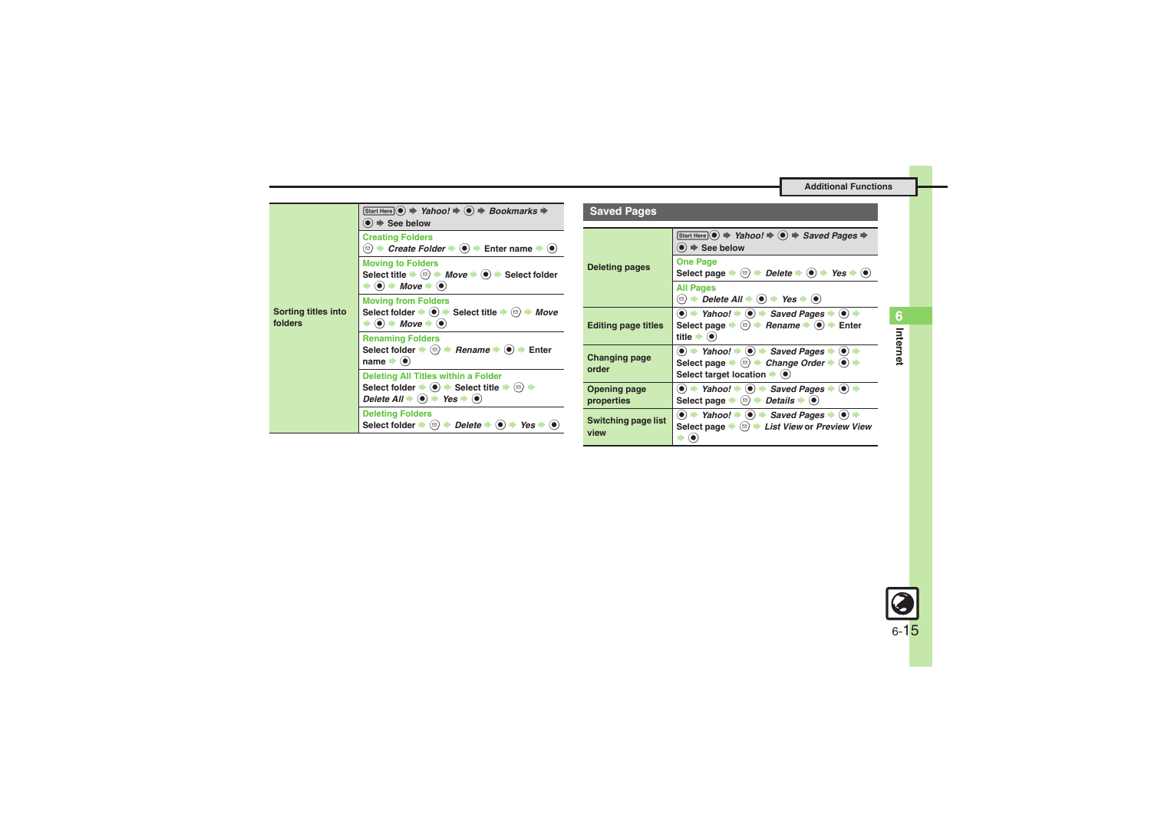<span id="page-14-0"></span>

| Sorting titles into<br>folders | Start Here $\odot$ $\Rightarrow$ Yahoo! $\Rightarrow$ $\odot$ $\Rightarrow$ Bookmarks $\Rightarrow$<br>$\bullet$ $\Rightarrow$ See below                                                                                                                  |
|--------------------------------|-----------------------------------------------------------------------------------------------------------------------------------------------------------------------------------------------------------------------------------------------------------|
|                                | <b>Creating Folders</b><br><b><sup>⊠</sup>) <math>\rightarrow</math> Create Folder <math>\rightarrow</math> (<math>\bullet</math>)</b> $\rightarrow$ Enter name $\rightarrow$ ( $\bullet$ )                                                               |
|                                | <b>Moving to Folders</b><br>Select title $\Rightarrow$ $\textcircled{a}$ $\Rightarrow$ Move $\Rightarrow$ $\textcircled{a}$ $\Rightarrow$ Select folder<br>$\Rightarrow$ ( $\bullet$ ) $\Rightarrow$ Move $\Rightarrow$ ( $\bullet$ )                     |
|                                | <b>Moving from Folders</b><br>Select folder $\Rightarrow$ $\circledast$ Select title $\Rightarrow$ $\circledast$ $\Rightarrow$ Move<br>$\blacktriangleright$ ( $\bullet$ ) $\blacktriangleright$ Move $\blacktriangleright$ ( $\bullet$ )                 |
|                                | <b>Renaming Folders</b><br>Select folder $\Rightarrow$ ( $\textcircled{e}$ ) $\Rightarrow$ Rename $\Rightarrow$ ( $\bullet$ ) $\Rightarrow$ Enter<br>name $\blacktriangleright$ ( $\blacklozenge$ )                                                       |
|                                | <b>Deleting All Titles within a Folder</b><br>Select folder $\Rightarrow$ ( $\bullet$ ) $\Rightarrow$ Select title $\Rightarrow$ ( $\circledcirc$ ) $\Rightarrow$<br>Delete All $\Rightarrow$ ( $\bullet$ ) $\Rightarrow$ Yes $\Rightarrow$ ( $\bullet$ ) |
|                                | <b>Deleting Folders</b><br>Select folder $\Rightarrow$ ( $\textcircled{=}$ ) $\Rightarrow$ Delete $\Rightarrow$ ( $\bullet$ ) $\Rightarrow$ Yes $\Rightarrow$ ( $\bullet$                                                                                 |

<span id="page-14-3"></span><span id="page-14-2"></span><span id="page-14-1"></span>

| <b>Saved Pages</b>                |                                                                                                                                                                                                                                                                           |
|-----------------------------------|---------------------------------------------------------------------------------------------------------------------------------------------------------------------------------------------------------------------------------------------------------------------------|
| <b>Deleting pages</b>             | Start Here $\odot$ $\Rightarrow$ Yahoo! $\Rightarrow$ $\odot$ $\Rightarrow$ Saved Pages $\Rightarrow$<br>$\bullet$ $\Rightarrow$ See below                                                                                                                                |
|                                   | <b>One Page</b><br>Select page $\Rightarrow$ ( $\textcircled{\scriptsize{\ast}}$ ) $\Rightarrow$ Delete $\Rightarrow$ ( $\bullet$ ) $\Rightarrow$ Yes $\Rightarrow$ ( $\bullet$ )                                                                                         |
|                                   | <b>All Pages</b><br><b><sup>☉</sup> <math>\rightarrow</math> Delete All <math>\rightarrow</math> (<math>\bullet</math>)</b> $\rightarrow$ Yes $\rightarrow$ ( $\bullet$ )                                                                                                 |
| <b>Editing page titles</b>        | $\bullet$ $\rightarrow$ Yahoo! $\rightarrow$ $\bullet$ Saved Pages $\rightarrow$ $\bullet$ $\rightarrow$<br>Select page $\Rightarrow$ ( $\textcircled{a}$ ) $\Rightarrow$ Rename $\Rightarrow$ ( $\textcircled{a}$ ) $\Rightarrow$ Enter<br>title $\bullet$ ( $\bullet$ ) |
| <b>Changing page</b><br>order     | $\bullet$ $\bullet$ Yahoo! $\bullet$ $\bullet$ $\bullet$ Saved Pages $\bullet$ $\bullet$<br>Select page $\Rightarrow$ $\textcircled{a}$ $\Rightarrow$ Change Order $\Rightarrow$ $\textcircled{e}$<br>Select target location $\blacktriangleright$ ( $\blacklozenge$ )    |
| <b>Opening page</b><br>properties | $\bullet$ $\bullet$ Yahoo! $\bullet$ $\bullet$ Saved Pages $\bullet$ $\bullet$ $\bullet$<br>Select page $\Rightarrow$ ( $\textcircled{a}$ ) $\Rightarrow$ Details $\Rightarrow$ ( $\bullet$ )                                                                             |
| Switching page list<br>view       | $\textcircled{\textbullet}$ $\Rightarrow$ Yahoo! $\Rightarrow$ $\textcircled{\textbullet}$ Saved Pages $\Rightarrow$ $\textcircled{\textbullet}$<br>Select page $\bullet$ ( $\text{N}$ ) $\bullet$ List View or Preview View                                              |

**Internet 6**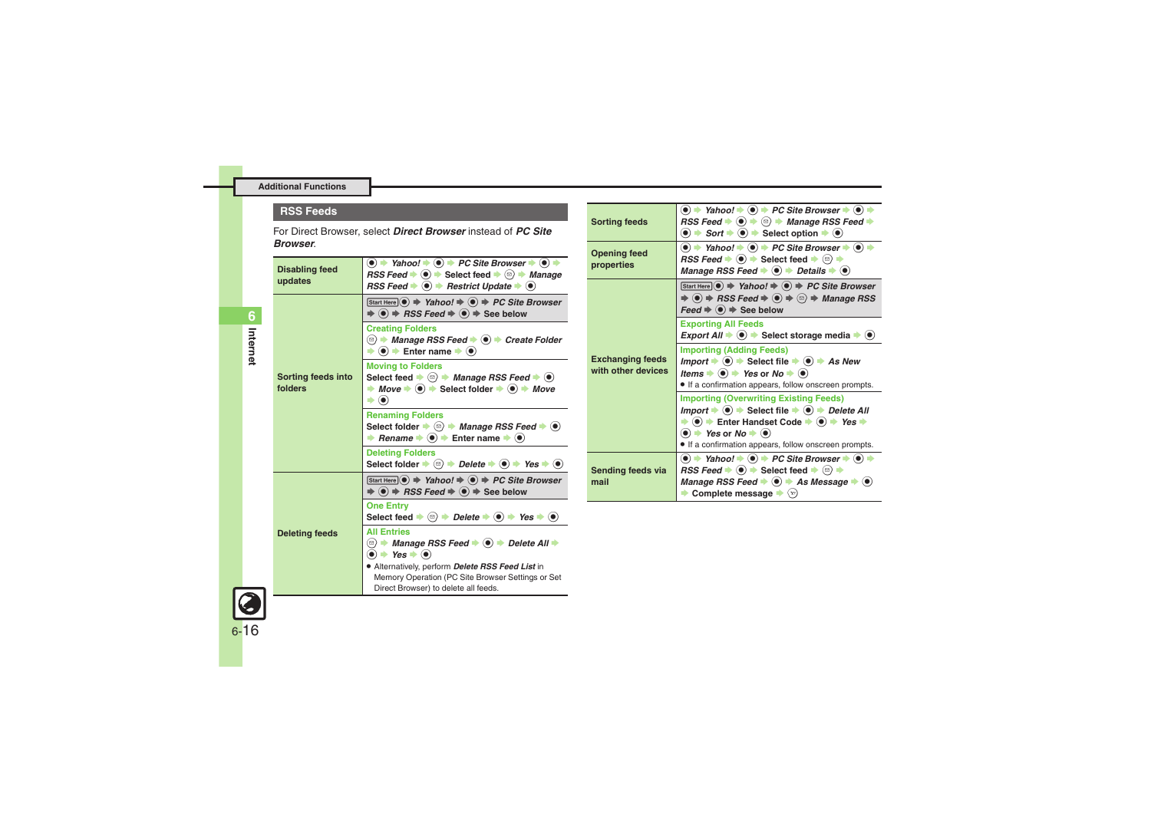#### **RSS Feeds**

For Direct Browser, select *Direct Browser* instead of *PC Site Browser*.

<span id="page-15-1"></span><span id="page-15-0"></span>

| <b>Disabling feed</b><br>updates | $\textcircled{\textbullet}$ + Yahoo! $\textcircled{\textbullet}$ + PC Site Browser $\textcircled{\textbullet}$ $\textcircled{\textbullet}$<br>RSS Feed $\blacktriangleright$ ( $\blacklozenge$ ) $\blacktriangleright$ Select feed $\blacktriangleright$ ( $\bowtie$ ) $\blacktriangleright$ Manage<br>RSS Feed $\bullet$ $\bullet$ Restrict Update $\bullet$ $\bullet$ |
|----------------------------------|-------------------------------------------------------------------------------------------------------------------------------------------------------------------------------------------------------------------------------------------------------------------------------------------------------------------------------------------------------------------------|
| Sorting feeds into<br>folders    | $[Start Here] \n\big) \n\Rightarrow \nYahoo! \n\Rightarrow \n\big) \n\Rightarrow PC Site Browser$<br>$\Rightarrow$ (o) $\Rightarrow$ RSS Feed $\Rightarrow$ (o) $\Rightarrow$ See below                                                                                                                                                                                 |
|                                  | <b>Creating Folders</b><br>© → Manage RSS Feed → ● → Create Folder<br>$\bullet$ ( $\bullet$ ) $\bullet$ Enter name $\bullet$ ( $\bullet$ )                                                                                                                                                                                                                              |
|                                  | <b>Moving to Folders</b><br>Select feed $\bullet$ <sup>(<math>\circ</math></sup> ) $\bullet$ <i>Manage RSS Feed</i> $\bullet$ ( $\bullet$ )<br>$\rightarrow$ Move $\rightarrow$ $\odot$ $\rightarrow$ Select folder $\rightarrow$ $\odot$ $\rightarrow$ Move<br>$\circledbullet$                                                                                        |
|                                  | <b>Renaming Folders</b><br>Select folder $\Rightarrow$ $\textcircled{a}$ $\Rightarrow$ Manage RSS Feed $\Rightarrow$ $\textcircled{a}$<br><b>★ Rename <math>\rightarrow</math> (<math>\bullet</math>)</b> $\rightarrow$ Enter name $\rightarrow$ ( $\bullet$ )                                                                                                          |
|                                  | <b>Deleting Folders</b><br>Select folder $\Rightarrow$ $\textcircled{e}$ $\Rightarrow$ Delete $\Rightarrow$ $\textcircled{e}$ $\Rightarrow$ Yes $\Rightarrow$ $\textcircled{e}$                                                                                                                                                                                         |
| <b>Deleting feeds</b>            | $[Start Here] \n\big) \n\Rightarrow \nYahoo! \n\Rightarrow \n\big) \n\Rightarrow PC Site Browser$<br>$\Rightarrow$ ( $\bullet$ ) $\Rightarrow$ RSS Feed $\Rightarrow$ ( $\bullet$ ) $\Rightarrow$ See below                                                                                                                                                             |
|                                  | <b>One Entry</b><br>Select feed $\Rightarrow$ ( $\textcircled{e}$ ) $\Rightarrow$ Delete $\Rightarrow$ ( $\bullet$ ) $\Rightarrow$ Yes $\Rightarrow$ ( $\bullet$ )                                                                                                                                                                                                      |
|                                  | <b>All Entries</b><br>$\bullet$ $\bullet$ Yes $\bullet$ $\bullet$                                                                                                                                                                                                                                                                                                       |
|                                  | • Alternatively, perform Delete RSS Feed List in<br>Memory Operation (PC Site Browser Settings or Set<br>Direct Browser) to delete all feeds.                                                                                                                                                                                                                           |

<span id="page-15-6"></span><span id="page-15-5"></span><span id="page-15-4"></span><span id="page-15-3"></span>

| <b>Sorting feeds</b>                          | $\bullet$ $\rightarrow$ Yahoo! $\rightarrow$ $\bullet$ $\rightarrow$ PC Site Browser $\rightarrow$ $\bullet$ $\rightarrow$<br>RSS Feed $\blacktriangleright$ $\textcircled{\scriptsize{\bullet}}$ $\blacktriangleright$ $\textcircled{\scriptsize{\bullet}}$ $\blacktriangleright$ Manage RSS Feed $\blacktriangleright$<br>$\bullet$ $\Rightarrow$ Sort $\Rightarrow$ $\bullet$ Select option $\Rightarrow$ $\bullet$                |
|-----------------------------------------------|---------------------------------------------------------------------------------------------------------------------------------------------------------------------------------------------------------------------------------------------------------------------------------------------------------------------------------------------------------------------------------------------------------------------------------------|
| <b>Opening feed</b><br>properties             | $\bullet$ $\Rightarrow$ Yahoo! $\Rightarrow$ $\bullet$ PC Site Browser $\Rightarrow$ $\bullet$<br>$RSS \text{ Feed} \rightarrow \textcircled{\textcircled{\textcirc}}$ $\Rightarrow$ Select feed $\Rightarrow$ $\textcircled{\textcircled{\textcirc}}$ $\Rightarrow$<br>Manage RSS Feed $\blacktriangleright$ $\odot$ $\blacktriangleright$ Details $\blacktriangleright$ $\odot$                                                     |
| <b>Exchanging feeds</b><br>with other devices | Start Here $\odot \Rightarrow$ Yahoo! $\Rightarrow \odot \Rightarrow PC$ Site Browser<br>$\Rightarrow$ (o) $\Rightarrow$ RSS Feed $\Rightarrow$ (o) $\Rightarrow$ (e) $\Rightarrow$ Manage RSS<br>$\textsf{feed} \Rightarrow \textcircled{\bullet} \Rightarrow$ See below                                                                                                                                                             |
|                                               | <b>Exporting All Feeds</b><br>Export All $\Rightarrow$ $\circledast$ $\Rightarrow$ Select storage media $\Rightarrow$ $\circledast$                                                                                                                                                                                                                                                                                                   |
|                                               | <b>Importing (Adding Feeds)</b><br>Import $\Rightarrow$ ( $\bullet$ ) $\Rightarrow$ Select file $\Rightarrow$ ( $\bullet$ ) $\Rightarrow$ As New<br>Items $\bullet$ ( $\bullet$ ) $\bullet$ Yes or No $\bullet$ ( $\bullet$ )<br>• If a confirmation appears, follow onscreen prompts.                                                                                                                                                |
|                                               | <b>Importing (Overwriting Existing Feeds)</b><br>Import $\Rightarrow$ ( $\bullet$ ) $\Rightarrow$ Select file $\Rightarrow$ ( $\bullet$ ) $\Rightarrow$ Delete All<br>$\Rightarrow$ ( $\bullet$ ) $\Rightarrow$ Enter Handset Code $\Rightarrow$ ( $\bullet$ ) $\Rightarrow$ Yes $\Rightarrow$<br>$\bullet$ $\bullet$ Yes or No $\bullet$ $\bullet$<br>• If a confirmation appears, follow onscreen prompts.                          |
| Sending feeds via<br>mail                     | $\bullet$ $\bullet$ Yahoo! $\bullet$ $\bullet$ PC Site Browser $\bullet$ $\bullet$<br>$RSS \n\equiv \blacksquare \blacktriangleright \blacksquare \blacktriangleright \blacksquare$ Select feed $\blacktriangleright \blacksquare$ $\blacktriangleright$<br>Manage RSS Feed $\bullet$ ( $\bullet$ ) $\bullet$ As Message $\bullet$<br>$\left( \bullet \right)$<br>Complete message $\blacktriangleright$ $\langle \mathbf{v} \rangle$ |

<span id="page-15-2"></span>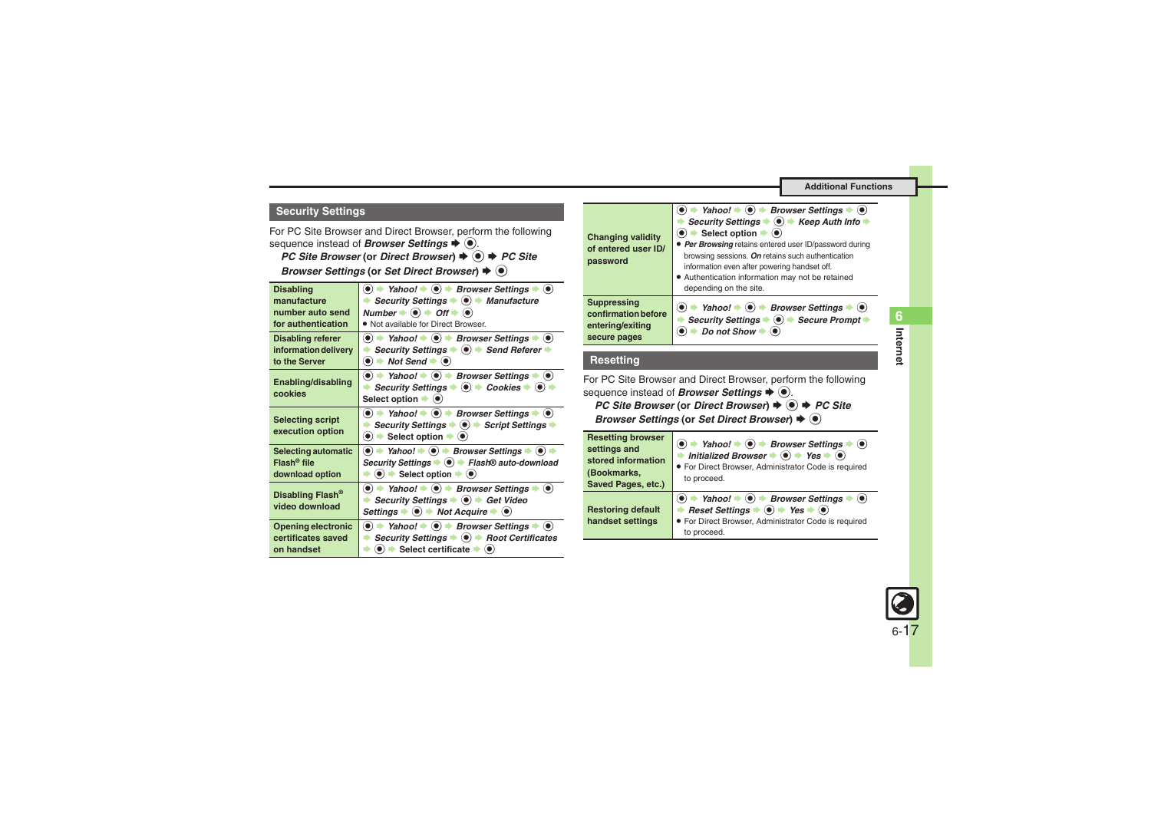# <span id="page-16-0"></span>**Security Settings**

For PC Site Browser and Direct Browser, perform the following sequence instead of *Browser Settings*  $\blacklozenge$  **.** 

*PC Site Browser* (or *Direct Browser*) ♦ <sup>●</sup> ♦ *PC Site* 

**Browser Settings (or Set Direct Browser)**  $\blacklozenge$ 

| <b>Disabling</b>                                                          | $\bullet$ $\bullet$ Yahoo! $\bullet$ $\bullet$ Browser Settings $\bullet$ $\bullet$                                                                                                                                                                                                                                  |
|---------------------------------------------------------------------------|----------------------------------------------------------------------------------------------------------------------------------------------------------------------------------------------------------------------------------------------------------------------------------------------------------------------|
| manufacture                                                               | Security Settings $\bullet$ $\bullet$ <i>Manufacture</i>                                                                                                                                                                                                                                                             |
| number auto send                                                          | Number $\Rightarrow$ $\bullet$ $\Rightarrow$ Off $\Rightarrow$ $\bullet$                                                                                                                                                                                                                                             |
| for authentication                                                        | . Not available for Direct Browser.                                                                                                                                                                                                                                                                                  |
| <b>Disabling referer</b><br>information delivery<br>to the Server         | $\langle \bullet \rangle$ $\Rightarrow$ Yahoo! $\Rightarrow$ $\langle \bullet \rangle$ $\Rightarrow$ Browser Settings $\Rightarrow$ $\langle \bullet \rangle$<br>Security Settings $\bullet$ ( $\bullet$ ) $\bullet$ Send Referer $\bullet$<br>$\bullet$ $\bullet$ Not Send $\bullet$ $\bullet$                      |
| Enabling/disabling<br>cookies                                             | $\bullet$ $\bullet$ Yahoo! $\bullet$ $\bullet$ Browser Settings $\bullet$ $\bullet$<br>Security Settings $\blacklozenge$ $\blacklozenge$ Cookies $\blacktriangleright$ $\blacklozenge$<br>Select option $\blacktriangleright$ ( $\blacklozenge$ )                                                                    |
| <b>Selecting script</b><br>execution option                               | $\bullet$ $\bullet$ Yahoo! $\bullet$ $\bullet$ Browser Settings $\bullet$ $\bullet$<br>Security Settings $\bullet$ $\bullet$ $\bullet$ Script Settings<br>$\bullet$ $\bullet$ Select option $\bullet$ $\bullet$                                                                                                      |
| <b>Selecting automatic</b><br>$Flash^{\circledR}$ file<br>download option | $\bullet$ $\Rightarrow$ Yahoo! $\Rightarrow$ $\bullet$ Browser Settings $\Rightarrow$ $\bullet$ )<br>Security Settings $\bullet$ ( $\bullet$ ) $\bullet$ Flash® auto-download<br>$\bullet$ $\bullet$ Select option $\bullet$ $\bullet$                                                                               |
| Disabling Flash <sup>®</sup><br>video download                            | $\textcircled{\textbullet}$ $\Rightarrow$ Yahoo! $\Rightarrow$ $\textcircled{\textbullet}$ Browser Settings $\Rightarrow$ $\textcircled{\textbullet}$<br>Security Settings $\Rightarrow$ O $\Rightarrow$ Get Video<br>Settings $\blacktriangleright$ (0) $\blacktriangleright$ Not Acquire $\blacktriangleright$ (0) |
| <b>Opening electronic</b>                                                 | $\textcircled{\textbullet}$ $\textbullet$ Yahoo! $\textbullet$ $\textcircled{\textbullet}$ Browser Settings $\textbullet$ $\textcircled{\textbullet}$                                                                                                                                                                |
| certificates saved                                                        | Security Settings $\bullet$ ( $\bullet$ ) $\bullet$ Root Certificates                                                                                                                                                                                                                                                |
| on handset                                                                | $\bullet$ $\bullet$ Select certificate $\bullet$ $\bullet$                                                                                                                                                                                                                                                           |

| <b>Changing validity</b><br>of entered user ID/<br>password                   | → Yahoo! $\rightarrow$ ( $\bullet$ ) $\rightarrow$ Browser Settings<br>Security Settings $\bullet$ $\bullet$ $\bullet$ Keep Auth Info $\bullet$<br>$\bullet$ $\bullet$ Select option $\bullet$ $\bullet$<br>• Per Browsing retains entered user ID/password during<br>browsing sessions. On retains such authentication<br>information even after powering handset off.<br>• Authentication information may not be retained<br>depending on the site. |
|-------------------------------------------------------------------------------|-------------------------------------------------------------------------------------------------------------------------------------------------------------------------------------------------------------------------------------------------------------------------------------------------------------------------------------------------------------------------------------------------------------------------------------------------------|
| <b>Suppressing</b><br>confirmation before<br>entering/exiting<br>secure pages | → Yahoo! $\Rightarrow$ O $\Rightarrow$ Browser Settings $\Rightarrow$ ⊙<br>Security Settings $\bullet$ $\bullet$ > Secure Prompt<br>Do not Show                                                                                                                                                                                                                                                                                                       |

### **Resetting**

For PC Site Browser and Direct Browser, perform the following sequence instead of *Browser Settings*  $\blacklozenge$ . *PC Site Browser* (or *Direct Browser*) ♦ ● *PC Site* **Browser Settings (or Set Direct Browser)**  $\blacklozenge$  $\textcircled{\tiny{\textcircled{\tiny\textcirc}}}$ 

<span id="page-16-1"></span>

| <b>Resetting browser</b>                     | $\bullet$ $\rightarrow$ Yahoo! $\rightarrow$ $\bullet$ Browser Settings $\rightarrow$                                                                                                                                                                  |
|----------------------------------------------|--------------------------------------------------------------------------------------------------------------------------------------------------------------------------------------------------------------------------------------------------------|
| settings and                                 | $\cdot$ (0)                                                                                                                                                                                                                                            |
| stored information                           | Initialized Browser $\bullet$ ( $\bullet$ ) $\bullet$ Yes $\bullet$ ( $\bullet$ )                                                                                                                                                                      |
| (Bookmarks,                                  | • For Direct Browser, Administrator Code is required                                                                                                                                                                                                   |
| Saved Pages, etc.)                           | to proceed.                                                                                                                                                                                                                                            |
| <b>Restoring default</b><br>handset settings | → Yahoo! → $\textcircled{\textcirc}$ → Browser Settings<br>$\left( \bullet \right)$<br>Reset Settings $\Rightarrow$ ( $\bullet$ ) $\Rightarrow$ Yes $\Rightarrow$ ( $\bullet$ )<br>• For Direct Browser, Administrator Code is required<br>to proceed. |



**Internet 6**

Internet